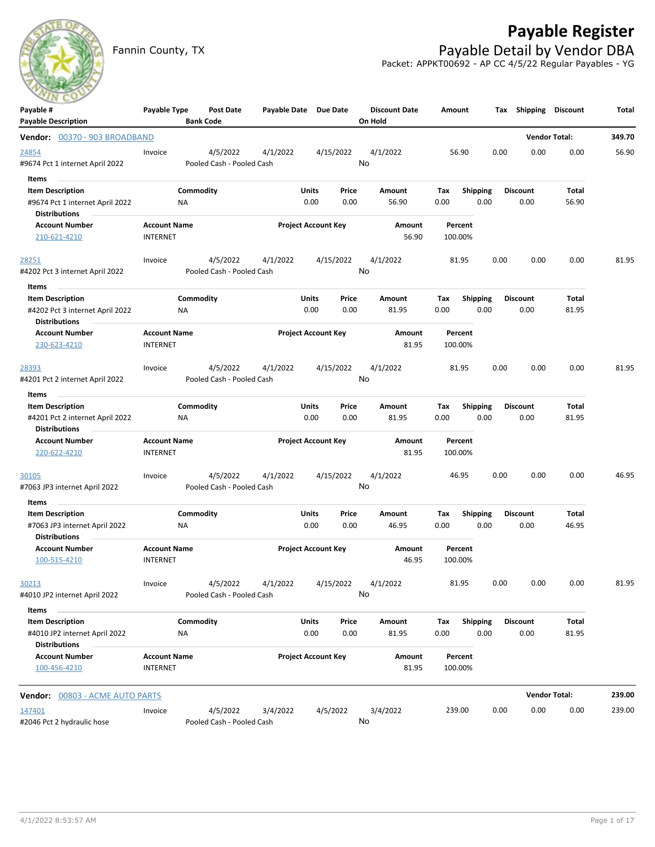

# **Payable Register**

Fannin County, TX **Payable Detail by Vendor DBA** Packet: APPKT00692 - AP CC 4/5/22 Regular Payables - YG

| Payable #                                                | Payable Type        | Post Date                             | Payable Date Due Date |                            |               | <b>Discount Date</b> | Amount      |                         | Tax  |                  | Shipping Discount    | Total  |
|----------------------------------------------------------|---------------------|---------------------------------------|-----------------------|----------------------------|---------------|----------------------|-------------|-------------------------|------|------------------|----------------------|--------|
| <b>Payable Description</b>                               |                     | <b>Bank Code</b>                      |                       |                            |               | On Hold              |             |                         |      |                  |                      |        |
| Vendor: 00370 - 903 BROADBAND                            |                     |                                       |                       |                            |               |                      |             |                         |      |                  | <b>Vendor Total:</b> | 349.70 |
| 24854                                                    | Invoice             | 4/5/2022                              | 4/1/2022              |                            | 4/15/2022     | 4/1/2022             | 56.90       |                         | 0.00 | 0.00             | 0.00                 | 56.90  |
| #9674 Pct 1 internet April 2022                          |                     | Pooled Cash - Pooled Cash             |                       |                            |               | No                   |             |                         |      |                  |                      |        |
| Items                                                    |                     |                                       |                       |                            |               |                      |             |                         |      |                  |                      |        |
| <b>Item Description</b>                                  |                     | Commodity                             |                       | Units                      | Price         | Amount               | Tax         | <b>Shipping</b>         |      | <b>Discount</b>  | Total                |        |
| #9674 Pct 1 internet April 2022                          | ΝA                  |                                       |                       | 0.00                       | 0.00          | 56.90                | 0.00        | 0.00                    |      | 0.00             | 56.90                |        |
| <b>Distributions</b>                                     |                     |                                       |                       |                            |               |                      |             |                         |      |                  |                      |        |
| <b>Account Number</b>                                    | <b>Account Name</b> |                                       |                       | <b>Project Account Key</b> |               | Amount               | Percent     |                         |      |                  |                      |        |
| 210-621-4210                                             | <b>INTERNET</b>     |                                       |                       |                            |               | 56.90                | 100.00%     |                         |      |                  |                      |        |
| <u> 28251</u>                                            | Invoice             | 4/5/2022                              | 4/1/2022              |                            | 4/15/2022     | 4/1/2022             | 81.95       |                         | 0.00 | 0.00             | 0.00                 | 81.95  |
| #4202 Pct 3 internet April 2022                          |                     | Pooled Cash - Pooled Cash             |                       |                            |               | No                   |             |                         |      |                  |                      |        |
| Items                                                    |                     |                                       |                       |                            |               |                      |             |                         |      |                  |                      |        |
| <b>Item Description</b>                                  |                     | Commodity                             |                       | Units                      | Price         | Amount               | Tax         | <b>Shipping</b>         |      | <b>Discount</b>  | Total                |        |
| #4202 Pct 3 internet April 2022                          | ΝA                  |                                       |                       | 0.00                       | 0.00          | 81.95                | 0.00        | 0.00                    |      | 0.00             | 81.95                |        |
| <b>Distributions</b>                                     |                     |                                       |                       |                            |               |                      |             |                         |      |                  |                      |        |
| <b>Account Number</b>                                    | <b>Account Name</b> |                                       |                       | <b>Project Account Key</b> |               | Amount               | Percent     |                         |      |                  |                      |        |
| 230-623-4210                                             | <b>INTERNET</b>     |                                       |                       |                            |               | 81.95                | 100.00%     |                         |      |                  |                      |        |
| 28393                                                    | Invoice             | 4/5/2022                              | 4/1/2022              |                            | 4/15/2022     | 4/1/2022             | 81.95       |                         | 0.00 | 0.00             | 0.00                 | 81.95  |
| #4201 Pct 2 internet April 2022                          |                     | Pooled Cash - Pooled Cash             |                       |                            |               | No                   |             |                         |      |                  |                      |        |
| Items                                                    |                     |                                       |                       |                            |               |                      |             |                         |      |                  |                      |        |
| <b>Item Description</b>                                  |                     | Commodity                             |                       | Units                      | Price         | Amount               | Тах         | <b>Shipping</b>         |      | <b>Discount</b>  | Total                |        |
| #4201 Pct 2 internet April 2022                          | ΝA                  |                                       |                       | 0.00                       | 0.00          | 81.95                | 0.00        | 0.00                    |      | 0.00             | 81.95                |        |
| <b>Distributions</b>                                     |                     |                                       |                       |                            |               |                      |             |                         |      |                  |                      |        |
| <b>Account Number</b>                                    | <b>Account Name</b> |                                       |                       | <b>Project Account Key</b> |               | Amount               | Percent     |                         |      |                  |                      |        |
| 220-622-4210                                             | <b>INTERNET</b>     |                                       |                       |                            |               | 81.95                | 100.00%     |                         |      |                  |                      |        |
|                                                          |                     |                                       |                       |                            |               |                      |             |                         |      |                  |                      |        |
| 30105                                                    | Invoice             | 4/5/2022<br>Pooled Cash - Pooled Cash | 4/1/2022              |                            | 4/15/2022     | 4/1/2022<br>No       | 46.95       |                         | 0.00 | 0.00             | 0.00                 | 46.95  |
| #7063 JP3 internet April 2022                            |                     |                                       |                       |                            |               |                      |             |                         |      |                  |                      |        |
| Items                                                    |                     |                                       |                       |                            |               |                      |             |                         |      |                  |                      |        |
| <b>Item Description</b><br>#7063 JP3 internet April 2022 | ΝA                  | Commodity                             |                       | Units<br>0.00              | Price<br>0.00 | Amount<br>46.95      | Тах<br>0.00 | <b>Shipping</b><br>0.00 |      | Discount<br>0.00 | Total<br>46.95       |        |
| <b>Distributions</b>                                     |                     |                                       |                       |                            |               |                      |             |                         |      |                  |                      |        |
| <b>Account Number</b>                                    | <b>Account Name</b> |                                       |                       | <b>Project Account Key</b> |               | Amount               | Percent     |                         |      |                  |                      |        |
| 100-515-4210                                             | <b>INTERNET</b>     |                                       |                       |                            |               | 46.95                | 100.00%     |                         |      |                  |                      |        |
|                                                          |                     |                                       |                       |                            |               |                      |             |                         |      |                  |                      |        |
| 30213                                                    | Invoice             |                                       | 4/5/2022 4/1/2022     |                            | 4/15/2022     | 4/1/2022             | 81.95       |                         | 0.00 | 0.00             | 0.00                 | 81.95  |
| #4010 JP2 internet April 2022                            |                     | Pooled Cash - Pooled Cash             |                       |                            |               | No                   |             |                         |      |                  |                      |        |
| Items                                                    |                     |                                       |                       |                            |               |                      |             |                         |      |                  |                      |        |
| <b>Item Description</b>                                  |                     | Commodity                             |                       | Units                      | Price         | Amount               | Tax         | Shipping                |      | <b>Discount</b>  | Total                |        |
| #4010 JP2 internet April 2022<br><b>Distributions</b>    | NA                  |                                       |                       | 0.00                       | 0.00          | 81.95                | 0.00        | 0.00                    |      | 0.00             | 81.95                |        |
| <b>Account Number</b>                                    | <b>Account Name</b> |                                       |                       | <b>Project Account Key</b> |               | Amount               | Percent     |                         |      |                  |                      |        |
| 100-456-4210                                             | <b>INTERNET</b>     |                                       |                       |                            |               | 81.95                | 100.00%     |                         |      |                  |                      |        |
| <b>Vendor:</b> 00803 - ACME AUTO PARTS                   |                     |                                       |                       |                            |               |                      |             |                         |      |                  | <b>Vendor Total:</b> | 239.00 |
| 147401                                                   | Invoice             | 4/5/2022                              | 3/4/2022              |                            | 4/5/2022      | 3/4/2022             | 239.00      |                         | 0.00 | 0.00             | 0.00                 | 239.00 |
| #2046 Pct 2 hydraulic hose                               |                     | Pooled Cash - Pooled Cash             |                       |                            |               | No                   |             |                         |      |                  |                      |        |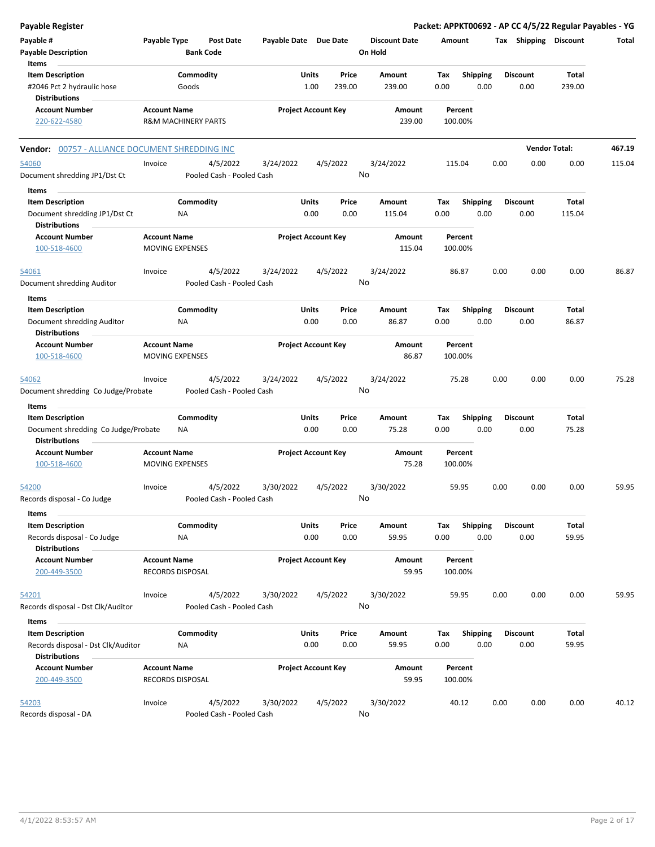| Payable Register                                                                               |                                               |                                       |                       |                                  |                                 | Packet: APPKT00692 - AP CC 4/5/22 Regular Payables - YG |      |                         |                      |        |
|------------------------------------------------------------------------------------------------|-----------------------------------------------|---------------------------------------|-----------------------|----------------------------------|---------------------------------|---------------------------------------------------------|------|-------------------------|----------------------|--------|
| Payable #<br><b>Payable Description</b>                                                        | Payable Type                                  | <b>Post Date</b><br><b>Bank Code</b>  | Payable Date Due Date |                                  | <b>Discount Date</b><br>On Hold | Amount                                                  |      | Tax Shipping Discount   |                      | Total  |
| Items<br><b>Item Description</b><br>#2046 Pct 2 hydraulic hose<br><b>Distributions</b>         |                                               | Commodity<br>Goods                    |                       | Units<br>Price<br>1.00<br>239.00 | <b>Amount</b><br>239.00         | Tax<br><b>Shipping</b><br>0.00<br>0.00                  |      | <b>Discount</b><br>0.00 | Total<br>239.00      |        |
| <b>Account Number</b><br>220-622-4580                                                          | <b>Account Name</b>                           | <b>R&amp;M MACHINERY PARTS</b>        |                       | <b>Project Account Key</b>       | Amount<br>239.00                | Percent<br>100.00%                                      |      |                         |                      |        |
| Vendor: 00757 - ALLIANCE DOCUMENT SHREDDING INC                                                |                                               |                                       |                       |                                  |                                 |                                                         |      |                         | <b>Vendor Total:</b> | 467.19 |
| 54060<br>Document shredding JP1/Dst Ct                                                         | Invoice                                       | 4/5/2022<br>Pooled Cash - Pooled Cash | 3/24/2022             | 4/5/2022                         | 3/24/2022<br>No                 | 115.04                                                  | 0.00 | 0.00                    | 0.00                 | 115.04 |
| Items<br><b>Item Description</b><br>Document shredding JP1/Dst Ct<br><b>Distributions</b>      |                                               | Commodity<br>ΝA                       |                       | Units<br>Price<br>0.00<br>0.00   | Amount<br>115.04                | <b>Shipping</b><br>Tax<br>0.00<br>0.00                  |      | Discount<br>0.00        | Total<br>115.04      |        |
| <b>Account Number</b><br>100-518-4600                                                          | <b>Account Name</b><br><b>MOVING EXPENSES</b> |                                       |                       | <b>Project Account Key</b>       | Amount<br>115.04                | Percent<br>100.00%                                      |      |                         |                      |        |
| 54061<br>Document shredding Auditor                                                            | Invoice                                       | 4/5/2022<br>Pooled Cash - Pooled Cash | 3/24/2022             | 4/5/2022                         | 3/24/2022<br>No                 | 86.87                                                   | 0.00 | 0.00                    | 0.00                 | 86.87  |
| Items<br><b>Item Description</b><br>Document shredding Auditor<br><b>Distributions</b>         |                                               | Commodity<br>ΝA                       |                       | Units<br>Price<br>0.00<br>0.00   | Amount<br>86.87                 | <b>Shipping</b><br>Tax<br>0.00<br>0.00                  |      | <b>Discount</b><br>0.00 | Total<br>86.87       |        |
| <b>Account Number</b><br>100-518-4600                                                          | <b>Account Name</b><br><b>MOVING EXPENSES</b> |                                       |                       | <b>Project Account Key</b>       | Amount<br>86.87                 | Percent<br>100.00%                                      |      |                         |                      |        |
| 54062<br>Document shredding Co Judge/Probate                                                   | Invoice                                       | 4/5/2022<br>Pooled Cash - Pooled Cash | 3/24/2022             | 4/5/2022                         | 3/24/2022<br>No                 | 75.28                                                   | 0.00 | 0.00                    | 0.00                 | 75.28  |
| Items<br><b>Item Description</b>                                                               |                                               | Commodity                             |                       | Units<br>Price                   | Amount                          | Tax                                                     |      | Discount                | Total                |        |
| Document shredding Co Judge/Probate<br><b>Distributions</b>                                    |                                               | ΝA                                    |                       | 0.00<br>0.00                     | 75.28                           | <b>Shipping</b><br>0.00<br>0.00                         |      | 0.00                    | 75.28                |        |
| <b>Account Number</b><br>100-518-4600                                                          | <b>Account Name</b><br><b>MOVING EXPENSES</b> |                                       |                       | <b>Project Account Key</b>       | Amount<br>75.28                 | Percent<br>100.00%                                      |      |                         |                      |        |
| 54200<br>Records disposal - Co Judge                                                           | Invoice                                       | 4/5/2022<br>Pooled Cash - Pooled Cash | 3/30/2022             | 4/5/2022                         | 3/30/2022<br>No                 | 59.95                                                   | 0.00 | 0.00                    | 0.00                 | 59.95  |
| Items<br><b>Item Description</b><br>Records disposal - Co Judge<br><b>Distributions</b>        |                                               | Commodity<br><b>NA</b>                |                       | Units<br>Price<br>0.00<br>0.00   | Amount<br>59.95                 | <b>Shipping</b><br>Tax<br>0.00<br>0.00                  |      | <b>Discount</b><br>0.00 | Total<br>59.95       |        |
| <b>Account Number</b><br>200-449-3500                                                          | <b>Account Name</b><br>RECORDS DISPOSAL       |                                       |                       | <b>Project Account Key</b>       | Amount<br>59.95                 | Percent<br>100.00%                                      |      |                         |                      |        |
| 54201<br>Records disposal - Dst Clk/Auditor                                                    | Invoice                                       | 4/5/2022<br>Pooled Cash - Pooled Cash | 3/30/2022             | 4/5/2022                         | 3/30/2022<br>No                 | 59.95                                                   | 0.00 | 0.00                    | 0.00                 | 59.95  |
| Items<br><b>Item Description</b><br>Records disposal - Dst Clk/Auditor<br><b>Distributions</b> |                                               | Commodity<br><b>NA</b>                |                       | Units<br>Price<br>0.00<br>0.00   | Amount<br>59.95                 | <b>Shipping</b><br>Tax<br>0.00<br>0.00                  |      | <b>Discount</b><br>0.00 | Total<br>59.95       |        |
| <b>Account Number</b><br>200-449-3500                                                          | <b>Account Name</b><br>RECORDS DISPOSAL       |                                       |                       | <b>Project Account Key</b>       | Amount<br>59.95                 | Percent<br>100.00%                                      |      |                         |                      |        |
| 54203<br>Records disposal - DA                                                                 | Invoice                                       | 4/5/2022<br>Pooled Cash - Pooled Cash | 3/30/2022             | 4/5/2022                         | 3/30/2022<br>No                 | 40.12                                                   | 0.00 | 0.00                    | 0.00                 | 40.12  |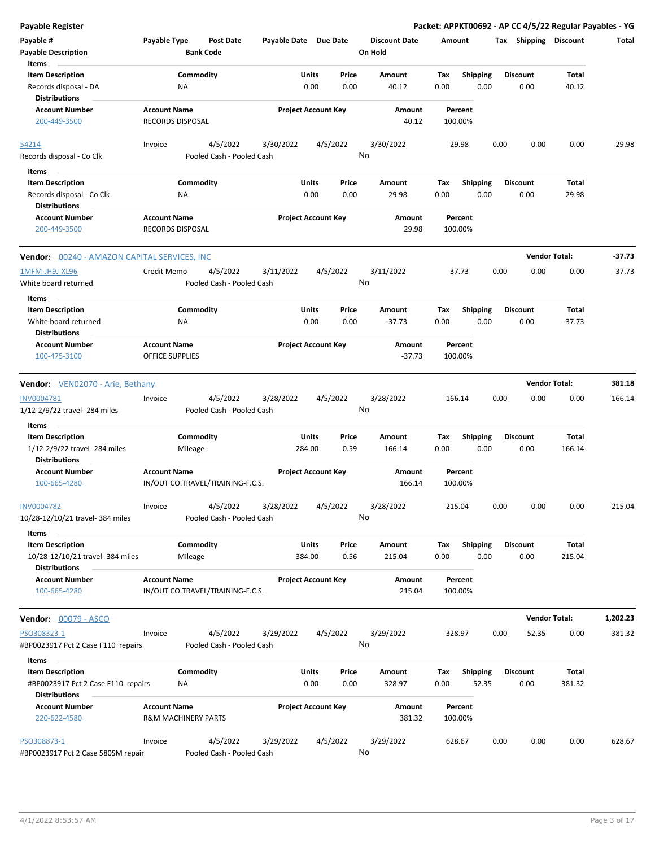| <b>Payable Register</b>                                                          |                                                       |                                       |                       |                            |                                 |                    |                          |                         | Packet: APPKT00692 - AP CC 4/5/22 Regular Payables - YG |          |
|----------------------------------------------------------------------------------|-------------------------------------------------------|---------------------------------------|-----------------------|----------------------------|---------------------------------|--------------------|--------------------------|-------------------------|---------------------------------------------------------|----------|
| Payable #<br><b>Payable Description</b>                                          | Payable Type                                          | <b>Post Date</b><br><b>Bank Code</b>  | Payable Date Due Date |                            | <b>Discount Date</b><br>On Hold | Amount             |                          |                         | Tax Shipping Discount                                   | Total    |
| Items                                                                            |                                                       |                                       |                       |                            |                                 |                    |                          |                         |                                                         |          |
| <b>Item Description</b>                                                          |                                                       | Commodity                             | Units                 | Price                      | Amount                          | Tax                | Shipping                 | <b>Discount</b>         | Total                                                   |          |
| Records disposal - DA<br><b>Distributions</b>                                    | ΝA                                                    |                                       |                       | 0.00<br>0.00               | 40.12                           | 0.00               | 0.00                     | 0.00                    | 40.12                                                   |          |
| <b>Account Number</b>                                                            | <b>Account Name</b>                                   |                                       |                       | <b>Project Account Key</b> | Amount                          | Percent            |                          |                         |                                                         |          |
| 200-449-3500                                                                     | <b>RECORDS DISPOSAL</b>                               |                                       |                       |                            | 40.12                           | 100.00%            |                          |                         |                                                         |          |
| 54214                                                                            | Invoice                                               | 4/5/2022                              | 3/30/2022             | 4/5/2022                   | 3/30/2022                       | 29.98              |                          | 0.00<br>0.00            | 0.00                                                    | 29.98    |
| Records disposal - Co Clk<br>Items                                               |                                                       | Pooled Cash - Pooled Cash             |                       |                            | No                              |                    |                          |                         |                                                         |          |
| <b>Item Description</b>                                                          |                                                       | Commodity                             | Units                 | Price                      | Amount                          | Tax                | <b>Shipping</b>          | <b>Discount</b>         | Total                                                   |          |
| Records disposal - Co Clk                                                        | ΝA                                                    |                                       |                       | 0.00<br>0.00               | 29.98                           | 0.00               | 0.00                     | 0.00                    | 29.98                                                   |          |
| <b>Distributions</b>                                                             |                                                       |                                       |                       |                            |                                 |                    |                          |                         |                                                         |          |
| <b>Account Number</b>                                                            | <b>Account Name</b>                                   |                                       |                       | <b>Project Account Key</b> | Amount                          | Percent            |                          |                         |                                                         |          |
| 200-449-3500                                                                     | <b>RECORDS DISPOSAL</b>                               |                                       |                       |                            | 29.98                           | 100.00%            |                          |                         |                                                         |          |
| Vendor: 00240 - AMAZON CAPITAL SERVICES, INC                                     |                                                       |                                       |                       |                            |                                 |                    |                          |                         | <b>Vendor Total:</b>                                    | $-37.73$ |
| 1MFM-JH9J-XL96                                                                   | Credit Memo                                           | 4/5/2022                              | 3/11/2022             | 4/5/2022                   | 3/11/2022                       | $-37.73$           |                          | 0.00<br>0.00            | 0.00                                                    | $-37.73$ |
| White board returned                                                             |                                                       | Pooled Cash - Pooled Cash             |                       |                            | No                              |                    |                          |                         |                                                         |          |
| Items                                                                            |                                                       |                                       |                       |                            |                                 |                    |                          | <b>Discount</b>         |                                                         |          |
| <b>Item Description</b><br>White board returned                                  |                                                       | Commodity                             | Units                 | Price                      | Amount                          | Tax                | Shipping                 |                         | Total                                                   |          |
| <b>Distributions</b>                                                             | NA                                                    |                                       |                       | 0.00<br>0.00               | $-37.73$                        | 0.00               | 0.00                     | 0.00                    | $-37.73$                                                |          |
| <b>Account Number</b>                                                            | <b>Account Name</b>                                   |                                       |                       | <b>Project Account Key</b> | Amount                          | Percent            |                          |                         |                                                         |          |
| 100-475-3100                                                                     | OFFICE SUPPLIES                                       |                                       |                       |                            | $-37.73$                        | 100.00%            |                          |                         |                                                         |          |
| Vendor: VEN02070 - Arie, Bethany                                                 |                                                       |                                       |                       |                            |                                 |                    |                          |                         | <b>Vendor Total:</b>                                    | 381.18   |
| INV0004781                                                                       | Invoice                                               | 4/5/2022                              | 3/28/2022             | 4/5/2022                   | 3/28/2022                       | 166.14             |                          | 0.00<br>0.00            | 0.00                                                    | 166.14   |
| 1/12-2/9/22 travel- 284 miles                                                    |                                                       | Pooled Cash - Pooled Cash             |                       |                            | No                              |                    |                          |                         |                                                         |          |
| Items                                                                            |                                                       |                                       |                       |                            |                                 |                    |                          |                         |                                                         |          |
| <b>Item Description</b><br>1/12-2/9/22 travel- 284 miles<br><b>Distributions</b> | Mileage                                               | Commodity                             | Units<br>284.00       | Price<br>0.59              | Amount<br>166.14                | Tax<br>0.00        | <b>Shipping</b><br>0.00  | <b>Discount</b><br>0.00 | Total<br>166.14                                         |          |
| <b>Account Number</b>                                                            | <b>Account Name</b>                                   |                                       |                       | <b>Project Account Key</b> | Amount                          | Percent            |                          |                         |                                                         |          |
| 100-665-4280                                                                     |                                                       | IN/OUT CO.TRAVEL/TRAINING-F.C.S.      |                       |                            | 166.14                          | 100.00%            |                          |                         |                                                         |          |
| <b>INV0004782</b><br>10/28-12/10/21 travel- 384 miles                            | Invoice                                               | 4/5/2022<br>Pooled Cash - Pooled Cash | 3/28/2022             | 4/5/2022                   | 3/28/2022<br>No                 | 215.04             |                          | 0.00<br>0.00            | 0.00                                                    | 215.04   |
| Items                                                                            |                                                       |                                       |                       |                            |                                 |                    |                          |                         |                                                         |          |
| <b>Item Description</b><br>10/28-12/10/21 travel- 384 miles                      | Mileage                                               | Commodity                             | Units<br>384.00       | Price<br>0.56              | Amount<br>215.04                | Tax<br>0.00        | <b>Shipping</b><br>0.00  | <b>Discount</b><br>0.00 | Total<br>215.04                                         |          |
| <b>Distributions</b>                                                             |                                                       |                                       |                       |                            |                                 |                    |                          |                         |                                                         |          |
| <b>Account Number</b><br>100-665-4280                                            | <b>Account Name</b>                                   | IN/OUT CO.TRAVEL/TRAINING-F.C.S.      |                       | <b>Project Account Key</b> | Amount<br>215.04                | Percent<br>100.00% |                          |                         |                                                         |          |
| <b>Vendor: 00079 - ASCO</b>                                                      |                                                       |                                       |                       |                            |                                 |                    |                          |                         | <b>Vendor Total:</b>                                    | 1,202.23 |
|                                                                                  |                                                       |                                       |                       |                            |                                 |                    |                          |                         |                                                         |          |
| PSO308323-1<br>#BP0023917 Pct 2 Case F110 repairs                                | Invoice                                               | 4/5/2022<br>Pooled Cash - Pooled Cash | 3/29/2022             | 4/5/2022                   | 3/29/2022<br>No                 | 328.97             |                          | 0.00<br>52.35           | 0.00                                                    | 381.32   |
| Items                                                                            |                                                       |                                       |                       |                            |                                 |                    |                          |                         |                                                         |          |
| <b>Item Description</b><br>#BP0023917 Pct 2 Case F110 repairs                    | ΝA                                                    | Commodity                             | Units                 | Price<br>0.00<br>0.00      | Amount<br>328.97                | Tax<br>0.00        | <b>Shipping</b><br>52.35 | Discount<br>0.00        | Total<br>381.32                                         |          |
| <b>Distributions</b>                                                             |                                                       |                                       |                       |                            |                                 |                    |                          |                         |                                                         |          |
| <b>Account Number</b>                                                            |                                                       |                                       |                       |                            |                                 |                    |                          |                         |                                                         |          |
| 220-622-4580                                                                     | <b>Account Name</b><br><b>R&amp;M MACHINERY PARTS</b> |                                       |                       | <b>Project Account Key</b> | Amount<br>381.32                | Percent<br>100.00% |                          |                         |                                                         |          |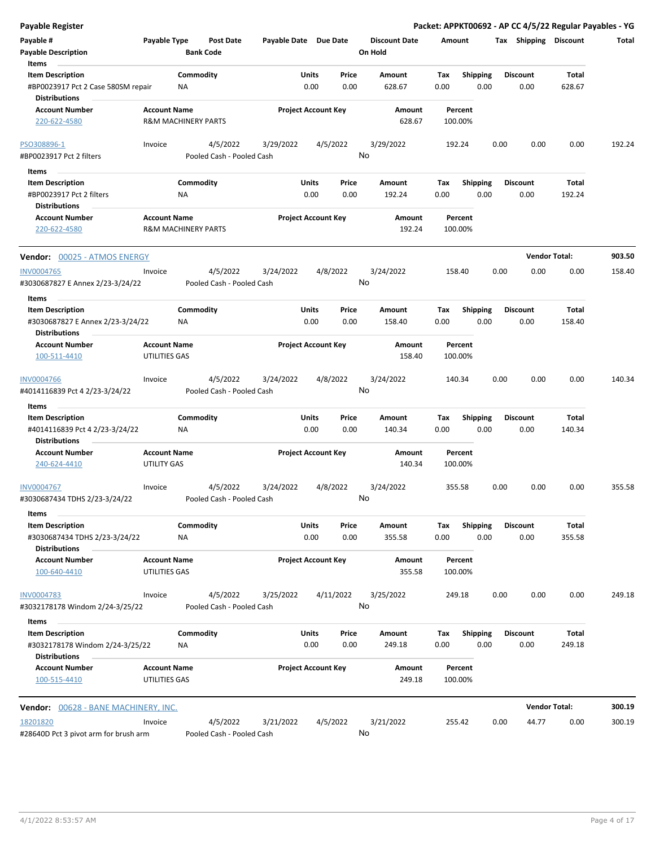| Payable Register                                        |                                                       |                  |                                       |                       |                            |                            |                                 |             |                         |      |                         | Packet: APPKT00692 - AP CC 4/5/22 Regular Payables - YG |        |
|---------------------------------------------------------|-------------------------------------------------------|------------------|---------------------------------------|-----------------------|----------------------------|----------------------------|---------------------------------|-------------|-------------------------|------|-------------------------|---------------------------------------------------------|--------|
| Payable #<br><b>Payable Description</b>                 | Payable Type                                          | <b>Bank Code</b> | Post Date                             | Payable Date Due Date |                            |                            | <b>Discount Date</b><br>On Hold | Amount      |                         |      | Tax Shipping Discount   |                                                         | Total  |
| Items<br><b>Item Description</b>                        |                                                       | Commodity        |                                       |                       | Units                      | Price                      | Amount                          | Tax         | <b>Shipping</b>         |      | <b>Discount</b>         | <b>Total</b>                                            |        |
| #BP0023917 Pct 2 Case 580SM repair                      |                                                       | NA               |                                       |                       | 0.00                       | 0.00                       | 628.67                          | 0.00        | 0.00                    |      | 0.00                    | 628.67                                                  |        |
| <b>Distributions</b>                                    |                                                       |                  |                                       |                       |                            |                            |                                 |             |                         |      |                         |                                                         |        |
| <b>Account Number</b>                                   | <b>Account Name</b>                                   |                  |                                       |                       |                            | <b>Project Account Key</b> | Amount                          |             | Percent                 |      |                         |                                                         |        |
| 220-622-4580                                            | <b>R&amp;M MACHINERY PARTS</b>                        |                  |                                       |                       |                            |                            | 628.67                          |             | 100.00%                 |      |                         |                                                         |        |
| PSO308896-1                                             |                                                       |                  |                                       |                       |                            |                            |                                 |             |                         | 0.00 | 0.00                    | 0.00                                                    | 192.24 |
| #BP0023917 Pct 2 filters                                | Invoice                                               |                  | 4/5/2022<br>Pooled Cash - Pooled Cash | 3/29/2022             |                            | 4/5/2022<br>No             | 3/29/2022                       |             | 192.24                  |      |                         |                                                         |        |
|                                                         |                                                       |                  |                                       |                       |                            |                            |                                 |             |                         |      |                         |                                                         |        |
| Items<br>$\sim$                                         |                                                       |                  |                                       |                       |                            |                            |                                 |             |                         |      |                         |                                                         |        |
| <b>Item Description</b><br>#BP0023917 Pct 2 filters     |                                                       | Commodity<br>ΝA  |                                       |                       | Units<br>0.00              | Price<br>0.00              | Amount<br>192.24                | Tax<br>0.00 | <b>Shipping</b><br>0.00 |      | <b>Discount</b><br>0.00 | Total<br>192.24                                         |        |
| <b>Distributions</b>                                    |                                                       |                  |                                       |                       |                            |                            |                                 |             |                         |      |                         |                                                         |        |
| <b>Account Number</b><br>220-622-4580                   | <b>Account Name</b><br><b>R&amp;M MACHINERY PARTS</b> |                  |                                       |                       |                            | <b>Project Account Key</b> | Amount<br>192.24                |             | Percent<br>100.00%      |      |                         |                                                         |        |
| <b>Vendor: 00025 - ATMOS ENERGY</b>                     |                                                       |                  |                                       |                       |                            |                            |                                 |             |                         |      |                         | <b>Vendor Total:</b>                                    | 903.50 |
| <b>INV0004765</b>                                       | Invoice                                               |                  | 4/5/2022                              | 3/24/2022             |                            | 4/8/2022                   | 3/24/2022                       |             | 158.40                  | 0.00 | 0.00                    | 0.00                                                    | 158.40 |
| #3030687827 E Annex 2/23-3/24/22                        |                                                       |                  | Pooled Cash - Pooled Cash             |                       |                            | No                         |                                 |             |                         |      |                         |                                                         |        |
| Items                                                   |                                                       |                  |                                       |                       |                            |                            |                                 |             |                         |      |                         |                                                         |        |
| <b>Item Description</b>                                 |                                                       | Commodity        |                                       |                       | Units                      | Price                      | Amount                          | Tax         | <b>Shipping</b>         |      | <b>Discount</b>         | Total                                                   |        |
| #3030687827 E Annex 2/23-3/24/22                        |                                                       | NA               |                                       |                       | 0.00                       | 0.00                       | 158.40                          | 0.00        | 0.00                    |      | 0.00                    | 158.40                                                  |        |
| <b>Distributions</b><br><b>Account Number</b>           | <b>Account Name</b>                                   |                  |                                       |                       |                            | <b>Project Account Key</b> | Amount                          |             | Percent                 |      |                         |                                                         |        |
| 100-511-4410                                            | UTILITIES GAS                                         |                  |                                       |                       |                            |                            | 158.40                          |             | 100.00%                 |      |                         |                                                         |        |
|                                                         |                                                       |                  |                                       |                       |                            |                            |                                 |             |                         |      |                         |                                                         |        |
| <b>INV0004766</b>                                       | Invoice                                               |                  | 4/5/2022                              | 3/24/2022             |                            | 4/8/2022                   | 3/24/2022                       |             | 140.34                  | 0.00 | 0.00                    | 0.00                                                    | 140.34 |
| #4014116839 Pct 4 2/23-3/24/22                          |                                                       |                  | Pooled Cash - Pooled Cash             |                       |                            | No                         |                                 |             |                         |      |                         |                                                         |        |
| Items                                                   |                                                       |                  |                                       |                       |                            |                            |                                 |             |                         |      |                         |                                                         |        |
| <b>Item Description</b>                                 |                                                       | Commodity        |                                       |                       | Units                      | Price                      | Amount                          | Tax         | <b>Shipping</b>         |      | Discount                | <b>Total</b>                                            |        |
| #4014116839 Pct 4 2/23-3/24/22                          |                                                       | <b>NA</b>        |                                       |                       | 0.00                       | 0.00                       | 140.34                          | 0.00        | 0.00                    |      | 0.00                    | 140.34                                                  |        |
| <b>Distributions</b>                                    |                                                       |                  |                                       |                       |                            |                            |                                 |             |                         |      |                         |                                                         |        |
| <b>Account Number</b>                                   | <b>Account Name</b>                                   |                  |                                       |                       |                            | <b>Project Account Key</b> | Amount                          |             | Percent                 |      |                         |                                                         |        |
| 240-624-4410                                            | UTILITY GAS                                           |                  |                                       |                       |                            |                            | 140.34                          |             | 100.00%                 |      |                         |                                                         |        |
| <u>INV0004767</u>                                       | Invoice                                               |                  | 4/5/2022                              | 3/24/2022             |                            | 4/8/2022                   | 3/24/2022                       |             | 355.58                  | 0.00 | 0.00                    | 0.00                                                    | 355.58 |
| #3030687434 TDHS 2/23-3/24/22                           |                                                       |                  | Pooled Cash - Pooled Cash             |                       |                            | <b>No</b>                  |                                 |             |                         |      |                         |                                                         |        |
| Items                                                   |                                                       |                  |                                       |                       |                            |                            |                                 |             |                         |      |                         |                                                         |        |
| <b>Item Description</b>                                 |                                                       | Commodity        |                                       |                       | Units                      | Price                      | Amount                          | Tax         | Shipping                |      | <b>Discount</b>         | Total                                                   |        |
| #3030687434 TDHS 2/23-3/24/22                           |                                                       | <b>NA</b>        |                                       |                       | 0.00                       | 0.00                       | 355.58                          | 0.00        | 0.00                    |      | 0.00                    | 355.58                                                  |        |
| <b>Distributions</b>                                    |                                                       |                  |                                       |                       | <b>Project Account Key</b> |                            |                                 |             |                         |      |                         |                                                         |        |
| <b>Account Number</b><br>100-640-4410                   | <b>Account Name</b><br>UTILITIES GAS                  |                  |                                       |                       |                            |                            | Amount<br>355.58                |             | Percent<br>100.00%      |      |                         |                                                         |        |
| <b>INV0004783</b>                                       | Invoice                                               |                  | 4/5/2022                              | 3/25/2022             |                            | 4/11/2022                  | 3/25/2022                       |             | 249.18                  | 0.00 | 0.00                    | 0.00                                                    | 249.18 |
| #3032178178 Windom 2/24-3/25/22<br>Items                |                                                       |                  | Pooled Cash - Pooled Cash             |                       |                            | No                         |                                 |             |                         |      |                         |                                                         |        |
| <b>Item Description</b>                                 |                                                       | Commodity        |                                       |                       | Units                      | Price                      | Amount                          | Tax         | <b>Shipping</b>         |      | <b>Discount</b>         | Total                                                   |        |
| #3032178178 Windom 2/24-3/25/22<br><b>Distributions</b> |                                                       | NA               |                                       |                       | 0.00                       | 0.00                       | 249.18                          | 0.00        | 0.00                    |      | 0.00                    | 249.18                                                  |        |
| <b>Account Number</b>                                   | <b>Account Name</b>                                   |                  |                                       |                       | <b>Project Account Key</b> |                            | Amount                          |             | Percent                 |      |                         |                                                         |        |
| 100-515-4410                                            | UTILITIES GAS                                         |                  |                                       |                       |                            |                            | 249.18                          |             | 100.00%                 |      |                         |                                                         |        |
| Vendor: 00628 - BANE MACHINERY, INC.                    |                                                       |                  |                                       |                       |                            |                            |                                 |             |                         |      |                         | <b>Vendor Total:</b>                                    | 300.19 |
|                                                         |                                                       |                  |                                       |                       |                            |                            |                                 |             |                         |      |                         |                                                         |        |
| 18201820<br>#28640D Pct 3 pivot arm for brush arm       | Invoice                                               |                  | 4/5/2022<br>Pooled Cash - Pooled Cash | 3/21/2022             |                            | 4/5/2022<br>No             | 3/21/2022                       |             | 255.42                  | 0.00 | 44.77                   | 0.00                                                    | 300.19 |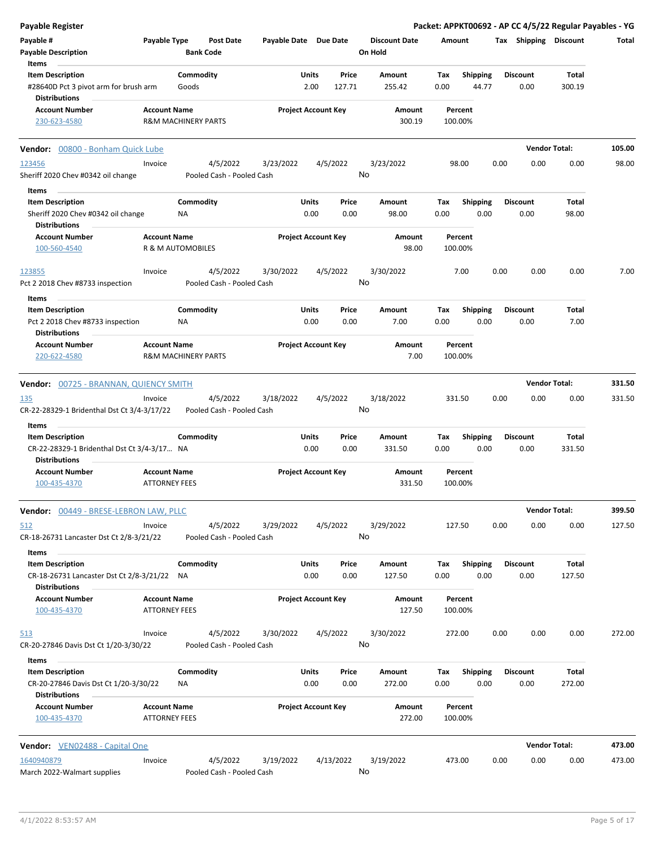| <b>Payable Register</b>                                       |                                |           |                           |                       |                            |                 |                      |        |                    |      |                       | Packet: APPKT00692 - AP CC 4/5/22 Regular Payables - YG |        |
|---------------------------------------------------------------|--------------------------------|-----------|---------------------------|-----------------------|----------------------------|-----------------|----------------------|--------|--------------------|------|-----------------------|---------------------------------------------------------|--------|
| Payable #                                                     | Payable Type                   |           | <b>Post Date</b>          | Payable Date Due Date |                            |                 | <b>Discount Date</b> | Amount |                    |      | Tax Shipping Discount |                                                         | Total  |
| <b>Payable Description</b>                                    |                                |           | <b>Bank Code</b>          |                       |                            |                 | On Hold              |        |                    |      |                       |                                                         |        |
| Items                                                         |                                |           |                           |                       |                            |                 |                      |        |                    |      |                       |                                                         |        |
| <b>Item Description</b>                                       |                                | Commodity |                           |                       | Units                      | Price           | Amount               | Tax    | <b>Shipping</b>    |      | <b>Discount</b>       | Total                                                   |        |
| #28640D Pct 3 pivot arm for brush arm<br><b>Distributions</b> |                                | Goods     |                           |                       | 2.00                       | 127.71          | 255.42               | 0.00   | 44.77              |      | 0.00                  | 300.19                                                  |        |
| <b>Account Number</b>                                         | <b>Account Name</b>            |           |                           |                       | <b>Project Account Key</b> |                 | Amount               |        | Percent            |      |                       |                                                         |        |
| 230-623-4580                                                  | <b>R&amp;M MACHINERY PARTS</b> |           |                           |                       |                            |                 | 300.19               |        | 100.00%            |      |                       |                                                         |        |
| Vendor: 00800 - Bonham Quick Lube                             |                                |           |                           |                       |                            |                 |                      |        |                    |      |                       | <b>Vendor Total:</b>                                    | 105.00 |
| 123456                                                        | Invoice                        |           | 4/5/2022                  | 3/23/2022             |                            | 4/5/2022        | 3/23/2022            |        | 98.00              | 0.00 | 0.00                  | 0.00                                                    | 98.00  |
| Sheriff 2020 Chev #0342 oil change                            |                                |           | Pooled Cash - Pooled Cash |                       |                            | No              |                      |        |                    |      |                       |                                                         |        |
| Items                                                         |                                |           |                           |                       |                            |                 |                      |        |                    |      |                       |                                                         |        |
| <b>Item Description</b>                                       |                                | Commodity |                           |                       | Units                      | Price           | Amount               | Tax    | <b>Shipping</b>    |      | <b>Discount</b>       | Total                                                   |        |
| Sheriff 2020 Chev #0342 oil change                            |                                | NA        |                           |                       | 0.00                       | 0.00            | 98.00                | 0.00   | 0.00               |      | 0.00                  | 98.00                                                   |        |
| <b>Distributions</b>                                          |                                |           |                           |                       |                            |                 |                      |        |                    |      |                       |                                                         |        |
| <b>Account Number</b>                                         | <b>Account Name</b>            |           |                           |                       | <b>Project Account Key</b> |                 | Amount               |        | Percent            |      |                       |                                                         |        |
| 100-560-4540                                                  | R & M AUTOMOBILES              |           |                           |                       |                            |                 | 98.00                |        | 100.00%            |      |                       |                                                         |        |
| 123855                                                        | Invoice                        |           | 4/5/2022                  | 3/30/2022             |                            | 4/5/2022        | 3/30/2022            |        | 7.00               | 0.00 | 0.00                  | 0.00                                                    | 7.00   |
| Pct 2 2018 Chev #8733 inspection                              |                                |           | Pooled Cash - Pooled Cash |                       |                            | No              |                      |        |                    |      |                       |                                                         |        |
| Items                                                         |                                |           |                           |                       |                            |                 |                      |        |                    |      |                       |                                                         |        |
| <b>Item Description</b>                                       |                                | Commodity |                           |                       | Units                      | Price           | Amount               | Tax    | <b>Shipping</b>    |      | <b>Discount</b>       | Total                                                   |        |
| Pct 2 2018 Chev #8733 inspection                              |                                | <b>NA</b> |                           |                       | 0.00                       | 0.00            | 7.00                 | 0.00   | 0.00               |      | 0.00                  | 7.00                                                    |        |
| <b>Distributions</b>                                          |                                |           |                           |                       |                            |                 |                      |        |                    |      |                       |                                                         |        |
| <b>Account Number</b>                                         | <b>Account Name</b>            |           |                           |                       | <b>Project Account Key</b> |                 | Amount               |        | Percent            |      |                       |                                                         |        |
| 220-622-4580                                                  | <b>R&amp;M MACHINERY PARTS</b> |           |                           |                       |                            |                 | 7.00                 |        | 100.00%            |      |                       |                                                         |        |
| Vendor: 00725 - BRANNAN, QUIENCY SMITH                        |                                |           |                           |                       |                            |                 |                      |        |                    |      |                       | <b>Vendor Total:</b>                                    | 331.50 |
|                                                               |                                |           |                           |                       |                            |                 |                      |        |                    |      |                       |                                                         |        |
| 135                                                           | Invoice                        |           | 4/5/2022                  | 3/18/2022             |                            | 4/5/2022<br>No  | 3/18/2022            |        | 331.50             | 0.00 | 0.00                  | 0.00                                                    | 331.50 |
| CR-22-28329-1 Bridenthal Dst Ct 3/4-3/17/22                   |                                |           | Pooled Cash - Pooled Cash |                       |                            |                 |                      |        |                    |      |                       |                                                         |        |
| Items                                                         |                                |           |                           |                       |                            |                 |                      |        |                    |      |                       |                                                         |        |
| <b>Item Description</b>                                       |                                | Commodity |                           |                       | Units                      | Price           | Amount               | Tax    | <b>Shipping</b>    |      | <b>Discount</b>       | Total                                                   |        |
| CR-22-28329-1 Bridenthal Dst Ct 3/4-3/17 NA                   |                                |           |                           |                       | 0.00                       | 0.00            | 331.50               | 0.00   | 0.00               |      | 0.00                  | 331.50                                                  |        |
| <b>Distributions</b>                                          |                                |           |                           |                       |                            |                 |                      |        |                    |      |                       |                                                         |        |
| <b>Account Number</b>                                         | <b>Account Name</b>            |           |                           |                       | <b>Project Account Key</b> |                 | Amount               |        | Percent            |      |                       |                                                         |        |
| 100-435-4370                                                  | <b>ATTORNEY FEES</b>           |           |                           |                       |                            |                 | 331.50               |        | 100.00%            |      |                       |                                                         |        |
| <b>Vendor: 00449 - BRESE-LEBRON LAW, PLLC</b>                 |                                |           |                           |                       |                            |                 |                      |        |                    |      |                       | <b>Vendor Total:</b>                                    | 399.50 |
| 512                                                           | Invoice                        |           | 4/5/2022                  | 3/29/2022             |                            | 4/5/2022        | 3/29/2022            |        | 127.50             | 0.00 | 0.00                  | 0.00                                                    | 127.50 |
| CR-18-26731 Lancaster Dst Ct 2/8-3/21/22                      |                                |           | Pooled Cash - Pooled Cash |                       |                            | No              |                      |        |                    |      |                       |                                                         |        |
| Items                                                         |                                |           |                           |                       |                            |                 |                      |        |                    |      |                       |                                                         |        |
| <b>Item Description</b>                                       |                                | Commodity |                           |                       | Units                      | Price           | Amount               | Tax    | <b>Shipping</b>    |      | <b>Discount</b>       | Total                                                   |        |
| CR-18-26731 Lancaster Dst Ct 2/8-3/21/22 NA                   |                                |           |                           |                       | 0.00                       | 0.00            | 127.50               | 0.00   | 0.00               |      | 0.00                  | 127.50                                                  |        |
| <b>Distributions</b>                                          |                                |           |                           |                       |                            |                 |                      |        |                    |      |                       |                                                         |        |
| <b>Account Number</b>                                         | <b>Account Name</b>            |           |                           |                       | <b>Project Account Key</b> |                 | Amount               |        | Percent            |      |                       |                                                         |        |
| 100-435-4370                                                  | <b>ATTORNEY FEES</b>           |           |                           |                       |                            |                 | 127.50               |        | 100.00%            |      |                       |                                                         |        |
| 513                                                           | Invoice                        |           | 4/5/2022                  | 3/30/2022             |                            | 4/5/2022        | 3/30/2022            |        | 272.00             | 0.00 | 0.00                  | 0.00                                                    | 272.00 |
| CR-20-27846 Davis Dst Ct 1/20-3/30/22                         |                                |           | Pooled Cash - Pooled Cash |                       |                            | No              |                      |        |                    |      |                       |                                                         |        |
| Items                                                         |                                |           |                           |                       |                            |                 |                      |        |                    |      |                       |                                                         |        |
| <b>Item Description</b>                                       |                                | Commodity |                           |                       | Units                      | Price           | Amount               | Tax    | <b>Shipping</b>    |      | <b>Discount</b>       | Total                                                   |        |
| CR-20-27846 Davis Dst Ct 1/20-3/30/22<br><b>Distributions</b> |                                | ΝA        |                           |                       | 0.00                       | 0.00            | 272.00               | 0.00   | 0.00               |      | 0.00                  | 272.00                                                  |        |
| <b>Account Number</b>                                         | <b>Account Name</b>            |           |                           |                       | <b>Project Account Key</b> |                 |                      |        |                    |      |                       |                                                         |        |
| 100-435-4370                                                  | <b>ATTORNEY FEES</b>           |           |                           |                       |                            |                 | Amount<br>272.00     |        | Percent<br>100.00% |      |                       |                                                         |        |
| <b>Vendor:</b> VEN02488 - Capital One                         |                                |           |                           |                       |                            |                 |                      |        |                    |      |                       | <b>Vendor Total:</b>                                    | 473.00 |
|                                                               |                                |           | 4/5/2022                  |                       |                            |                 |                      |        |                    |      |                       |                                                         |        |
| 1640940879                                                    | Invoice                        |           |                           | 3/19/2022             |                            | 4/13/2022<br>No | 3/19/2022            |        | 473.00             | 0.00 | 0.00                  | 0.00                                                    | 473.00 |
| March 2022-Walmart supplies                                   |                                |           | Pooled Cash - Pooled Cash |                       |                            |                 |                      |        |                    |      |                       |                                                         |        |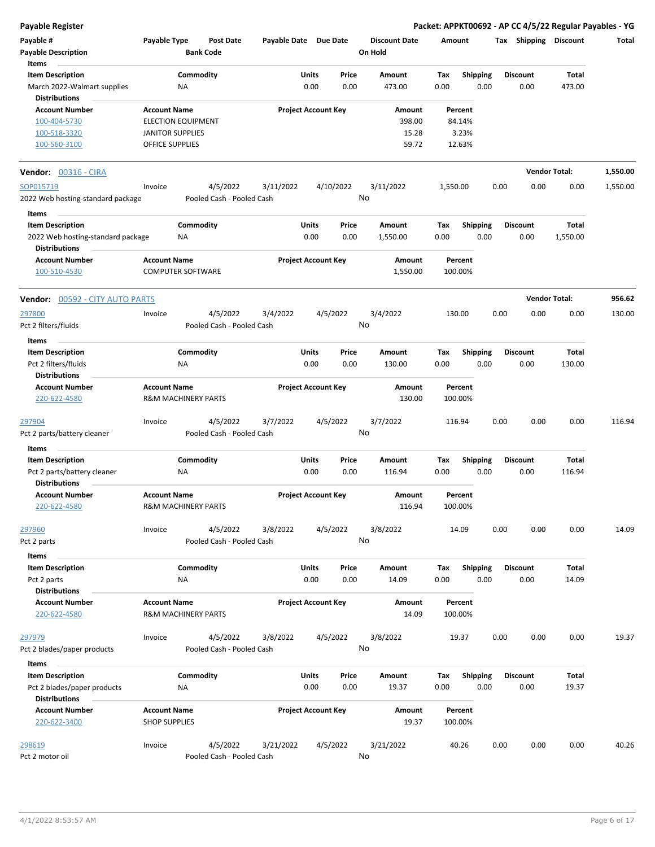**Payable Register Packet: APPKT00692 - AP CC 4/5/22 Regular Payables - YG**

| Payable #<br><b>Payable Description</b><br>Items                                 | Payable Type                                   | Post Date<br><b>Bank Code</b>          | Payable Date Due Date |                            |                 | <b>Discount Date</b><br>On Hold | Amount             |                         |      | Tax Shipping            | Discount               | Total    |
|----------------------------------------------------------------------------------|------------------------------------------------|----------------------------------------|-----------------------|----------------------------|-----------------|---------------------------------|--------------------|-------------------------|------|-------------------------|------------------------|----------|
| <b>Item Description</b><br>March 2022-Walmart supplies<br><b>Distributions</b>   |                                                | Commodity<br>ΝA                        |                       | Units<br>0.00              | Price<br>0.00   | Amount<br>473.00                | Tax<br>0.00        | <b>Shipping</b><br>0.00 |      | <b>Discount</b><br>0.00 | <b>Total</b><br>473.00 |          |
| <b>Account Number</b><br>100-404-5730<br>100-518-3320                            | <b>Account Name</b><br><b>JANITOR SUPPLIES</b> | <b>ELECTION EQUIPMENT</b>              |                       | <b>Project Account Key</b> |                 | Amount<br>398.00<br>15.28       | Percent<br>84.14%  | 3.23%                   |      |                         |                        |          |
| 100-560-3100                                                                     | OFFICE SUPPLIES                                |                                        |                       |                            |                 | 59.72                           | 12.63%             |                         |      |                         |                        |          |
| <b>Vendor:</b> 00316 - CIRA                                                      |                                                |                                        |                       |                            |                 |                                 |                    |                         |      |                         | <b>Vendor Total:</b>   | 1,550.00 |
| SOP015719<br>2022 Web hosting-standard package                                   | Invoice                                        | 4/5/2022<br>Pooled Cash - Pooled Cash  | 3/11/2022             |                            | 4/10/2022<br>No | 3/11/2022                       | 1,550.00           |                         | 0.00 | 0.00                    | 0.00                   | 1,550.00 |
| Items<br><b>Item Description</b>                                                 |                                                | Commodity                              |                       | Units                      | Price           | Amount                          | Tax                | <b>Shipping</b>         |      | <b>Discount</b>         | Total                  |          |
| 2022 Web hosting-standard package<br><b>Distributions</b>                        |                                                | ΝA                                     |                       | 0.00                       | 0.00            | 1,550.00                        | 0.00               | 0.00                    |      | 0.00                    | 1,550.00               |          |
| <b>Account Number</b><br>100-510-4530                                            | <b>Account Name</b>                            | <b>COMPUTER SOFTWARE</b>               |                       | <b>Project Account Key</b> |                 | Amount<br>1,550.00              | Percent<br>100.00% |                         |      |                         |                        |          |
| <b>Vendor: 00592 - CITY AUTO PARTS</b>                                           |                                                |                                        |                       |                            |                 |                                 |                    |                         |      | <b>Vendor Total:</b>    |                        | 956.62   |
| 297800<br>Pct 2 filters/fluids                                                   | Invoice                                        | 4/5/2022<br>Pooled Cash - Pooled Cash  | 3/4/2022              | 4/5/2022                   |                 | 3/4/2022<br>No                  | 130.00             |                         | 0.00 | 0.00                    | 0.00                   | 130.00   |
| Items<br><b>Item Description</b><br>Pct 2 filters/fluids<br><b>Distributions</b> |                                                | Commodity<br>NA<br><b>Account Name</b> |                       | Units<br>0.00              | Price<br>0.00   | Amount<br>130.00                | Tax<br>0.00        | <b>Shipping</b><br>0.00 |      | <b>Discount</b><br>0.00 | Total<br>130.00        |          |
| <b>Account Number</b><br>220-622-4580                                            |                                                | <b>R&amp;M MACHINERY PARTS</b>         |                       | <b>Project Account Key</b> |                 | Amount<br>130.00                | Percent<br>100.00% |                         |      |                         |                        |          |
| 297904<br>Pct 2 parts/battery cleaner                                            | Invoice                                        | 4/5/2022<br>Pooled Cash - Pooled Cash  | 3/7/2022              | 4/5/2022                   |                 | 3/7/2022<br>No                  | 116.94             |                         | 0.00 | 0.00                    | 0.00                   | 116.94   |
| Items<br><b>Item Description</b>                                                 |                                                | Commodity                              |                       | Units                      | Price           | Amount                          | Tax                | <b>Shipping</b>         |      | <b>Discount</b>         | Total                  |          |
| Pct 2 parts/battery cleaner<br><b>Distributions</b>                              |                                                | ΝA                                     |                       | 0.00                       | 0.00            | 116.94                          | 0.00               | 0.00                    |      | 0.00                    | 116.94                 |          |
| <b>Account Number</b><br>220-622-4580                                            | <b>Account Name</b>                            | <b>R&amp;M MACHINERY PARTS</b>         |                       | <b>Project Account Key</b> |                 | Amount<br>116.94                | Percent<br>100.00% |                         |      |                         |                        |          |
| 297960<br>Pct 2 parts                                                            | Invoice                                        | 4/5/2022<br>Pooled Cash - Pooled Cash  | 3/8/2022              | 4/5/2022                   |                 | 3/8/2022<br>No                  | 14.09              |                         | 0.00 | 0.00                    | 0.00                   | 14.09    |
| Items<br><b>Item Description</b><br>Pct 2 parts<br><b>Distributions</b>          |                                                | Commodity<br>ΝA                        |                       | Units<br>0.00              | Price<br>0.00   | <b>Amount</b><br>14.09          | Tax<br>0.00        | <b>Shipping</b><br>0.00 |      | <b>Discount</b><br>0.00 | Total<br>14.09         |          |
| <b>Account Number</b><br>220-622-4580                                            | <b>Account Name</b>                            | <b>R&amp;M MACHINERY PARTS</b>         |                       | <b>Project Account Key</b> |                 | Amount<br>14.09                 | Percent<br>100.00% |                         |      |                         |                        |          |
| <u>297979</u><br>Pct 2 blades/paper products                                     | Invoice                                        | 4/5/2022<br>Pooled Cash - Pooled Cash  | 3/8/2022              | 4/5/2022                   | No              | 3/8/2022                        | 19.37              |                         | 0.00 | 0.00                    | 0.00                   | 19.37    |
| Items<br><b>Item Description</b><br>Pct 2 blades/paper products                  |                                                | Commodity<br>NA                        |                       | Units<br>0.00              | Price<br>0.00   | Amount<br>19.37                 | Tax<br>0.00        | Shipping<br>0.00        |      | <b>Discount</b><br>0.00 | Total<br>19.37         |          |
| <b>Distributions</b><br><b>Account Number</b><br>220-622-3400                    | <b>Account Name</b><br><b>SHOP SUPPLIES</b>    |                                        |                       | <b>Project Account Key</b> |                 | Amount<br>19.37                 | Percent<br>100.00% |                         |      |                         |                        |          |
| <u> 298619</u><br>Pct 2 motor oil                                                | Invoice                                        | 4/5/2022<br>Pooled Cash - Pooled Cash  | 3/21/2022             | 4/5/2022                   | No              | 3/21/2022                       | 40.26              |                         | 0.00 | 0.00                    | 0.00                   | 40.26    |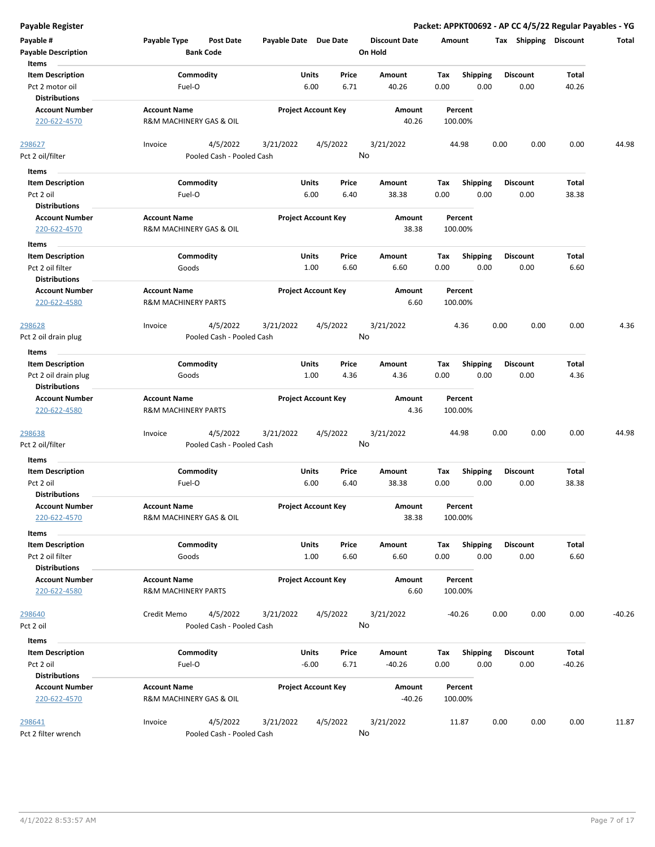| <b>Payable Register</b>          |                                  |                       |                            |                      | Packet: APPKT00692 - AP CC 4/5/22 Regular Payables - YG |                       |          |          |
|----------------------------------|----------------------------------|-----------------------|----------------------------|----------------------|---------------------------------------------------------|-----------------------|----------|----------|
| Payable #                        | Payable Type<br><b>Post Date</b> | Payable Date Due Date |                            | <b>Discount Date</b> | Amount                                                  | Tax Shipping Discount |          | Total    |
| <b>Payable Description</b>       | <b>Bank Code</b>                 |                       |                            | On Hold              |                                                         |                       |          |          |
| Items                            |                                  |                       |                            |                      |                                                         |                       |          |          |
| <b>Item Description</b>          | Commodity                        |                       | Units<br>Price             | Amount               | Tax<br><b>Shipping</b>                                  | <b>Discount</b>       | Total    |          |
| Pct 2 motor oil                  | Fuel-O                           |                       | 6.00<br>6.71               | 40.26                | 0.00<br>0.00                                            | 0.00                  | 40.26    |          |
| <b>Distributions</b>             |                                  |                       |                            |                      |                                                         |                       |          |          |
| <b>Account Number</b>            | <b>Account Name</b>              |                       | <b>Project Account Key</b> | Amount               | Percent                                                 |                       |          |          |
| 220-622-4570                     | R&M MACHINERY GAS & OIL          |                       |                            | 40.26                | 100.00%                                                 |                       |          |          |
| 298627                           | 4/5/2022<br>Invoice              | 3/21/2022             | 4/5/2022                   | 3/21/2022            | 44.98                                                   | 0.00<br>0.00          | 0.00     | 44.98    |
| Pct 2 oil/filter                 | Pooled Cash - Pooled Cash        |                       |                            | No                   |                                                         |                       |          |          |
| Items                            |                                  |                       |                            |                      |                                                         |                       |          |          |
| <b>Item Description</b>          | Commodity                        |                       | Units<br>Price             | Amount               | <b>Shipping</b><br>Tax                                  | <b>Discount</b>       | Total    |          |
| Pct 2 oil                        | Fuel-O                           |                       | 6.00<br>6.40               | 38.38                | 0.00<br>0.00                                            | 0.00                  | 38.38    |          |
| <b>Distributions</b>             |                                  |                       |                            |                      |                                                         |                       |          |          |
| <b>Account Number</b>            | <b>Account Name</b>              |                       | <b>Project Account Key</b> | Amount               | Percent                                                 |                       |          |          |
| 220-622-4570                     | R&M MACHINERY GAS & OIL          |                       |                            | 38.38                | 100.00%                                                 |                       |          |          |
| Items                            |                                  |                       |                            |                      |                                                         |                       |          |          |
| <b>Item Description</b>          | Commodity                        |                       | Units<br>Price             | Amount               | Tax<br><b>Shipping</b>                                  | <b>Discount</b>       | Total    |          |
| Pct 2 oil filter                 | Goods                            |                       | 1.00<br>6.60               | 6.60                 | 0.00<br>0.00                                            | 0.00                  | 6.60     |          |
| <b>Distributions</b>             |                                  |                       |                            |                      |                                                         |                       |          |          |
| <b>Account Number</b>            | <b>Account Name</b>              |                       | <b>Project Account Key</b> | Amount               | Percent                                                 |                       |          |          |
| 220-622-4580                     | <b>R&amp;M MACHINERY PARTS</b>   |                       |                            | 6.60                 | 100.00%                                                 |                       |          |          |
|                                  |                                  |                       |                            |                      |                                                         |                       |          |          |
| 298628                           | 4/5/2022<br>Invoice              | 3/21/2022             | 4/5/2022                   | 3/21/2022            | 4.36                                                    | 0.00<br>0.00          | 0.00     | 4.36     |
| Pct 2 oil drain plug             | Pooled Cash - Pooled Cash        |                       |                            | No                   |                                                         |                       |          |          |
| Items                            |                                  |                       |                            |                      |                                                         |                       |          |          |
| <b>Item Description</b>          | Commodity                        |                       | Units<br>Price             | Amount               | <b>Shipping</b><br>Tax                                  | <b>Discount</b>       | Total    |          |
| Pct 2 oil drain plug             | Goods                            |                       | 1.00<br>4.36               | 4.36                 | 0.00<br>0.00                                            | 0.00                  | 4.36     |          |
| <b>Distributions</b>             |                                  |                       |                            |                      |                                                         |                       |          |          |
| <b>Account Number</b>            | <b>Account Name</b>              |                       | <b>Project Account Key</b> | Amount               | Percent                                                 |                       |          |          |
| 220-622-4580                     | <b>R&amp;M MACHINERY PARTS</b>   |                       |                            | 4.36                 | 100.00%                                                 |                       |          |          |
| 298638                           | 4/5/2022<br>Invoice              | 3/21/2022             | 4/5/2022                   | 3/21/2022            | 44.98                                                   | 0.00<br>0.00          | 0.00     | 44.98    |
| Pct 2 oil/filter                 | Pooled Cash - Pooled Cash        |                       |                            | No                   |                                                         |                       |          |          |
| Items                            |                                  |                       |                            |                      |                                                         |                       |          |          |
| <b>Item Description</b>          | Commodity                        |                       | Units<br>Price             | Amount               | Tax<br><b>Shipping</b>                                  | <b>Discount</b>       | Total    |          |
| Pct 2 oil                        | Fuel-O                           |                       | 6.40<br>6.00               | 38.38                | 0.00<br>0.00                                            | 0.00                  | 38.38    |          |
| <b>Distributions</b>             |                                  |                       |                            |                      |                                                         |                       |          |          |
| <b>Account Number</b>            | <b>Account Name</b>              |                       | <b>Project Account Key</b> | Amount               | Percent                                                 |                       |          |          |
| 220-622-4570                     | R&M MACHINERY GAS & OIL          |                       |                            | 38.38                | 100.00%                                                 |                       |          |          |
| Items                            |                                  |                       |                            |                      |                                                         |                       |          |          |
| <b>Item Description</b>          | Commodity                        |                       | Units<br>Price             | Amount               | <b>Shipping</b><br>Tax                                  | <b>Discount</b>       | Total    |          |
| Pct 2 oil filter                 | Goods                            |                       | 1.00<br>6.60               | 6.60                 | 0.00<br>0.00                                            | 0.00                  | 6.60     |          |
| <b>Distributions</b>             |                                  |                       |                            |                      |                                                         |                       |          |          |
| <b>Account Number</b>            | <b>Account Name</b>              |                       | <b>Project Account Key</b> | Amount               | Percent                                                 |                       |          |          |
| 220-622-4580                     | <b>R&amp;M MACHINERY PARTS</b>   |                       |                            | 6.60                 | 100.00%                                                 |                       |          |          |
| 298640                           | 4/5/2022<br>Credit Memo          | 3/21/2022             | 4/5/2022                   | 3/21/2022            | $-40.26$                                                | 0.00<br>0.00          | 0.00     | $-40.26$ |
| Pct 2 oil                        | Pooled Cash - Pooled Cash        |                       |                            | No                   |                                                         |                       |          |          |
|                                  |                                  |                       |                            |                      |                                                         |                       |          |          |
| Items<br><b>Item Description</b> | Commodity                        |                       | Units<br>Price             | Amount               | <b>Shipping</b><br>Tax                                  | <b>Discount</b>       | Total    |          |
| Pct 2 oil                        | Fuel-O                           |                       | 6.71<br>$-6.00$            | $-40.26$             | 0.00<br>0.00                                            | 0.00                  | $-40.26$ |          |
| <b>Distributions</b>             |                                  |                       |                            |                      |                                                         |                       |          |          |
| <b>Account Number</b>            | <b>Account Name</b>              |                       | <b>Project Account Key</b> | Amount               | Percent                                                 |                       |          |          |
| 220-622-4570                     | R&M MACHINERY GAS & OIL          |                       |                            | $-40.26$             | 100.00%                                                 |                       |          |          |
|                                  |                                  |                       |                            |                      |                                                         |                       |          |          |
| 298641                           | Invoice<br>4/5/2022              | 3/21/2022             | 4/5/2022                   | 3/21/2022            | 11.87                                                   | 0.00<br>0.00          | 0.00     | 11.87    |
| Pct 2 filter wrench              | Pooled Cash - Pooled Cash        |                       |                            | No                   |                                                         |                       |          |          |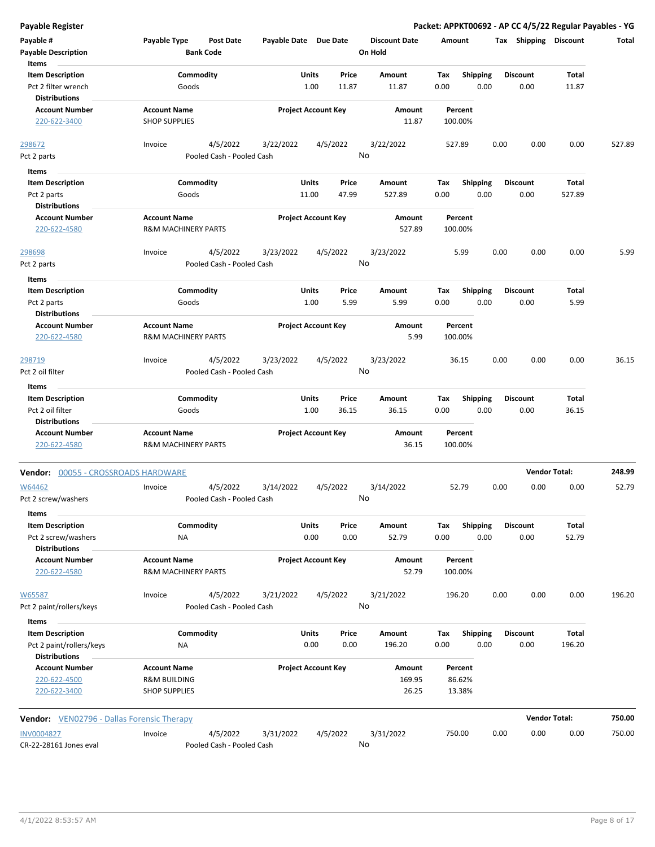| <b>Payable Register</b>                           |                                                  |                            |          |                      |         |                 | Packet: APPKT00692 - AP CC 4/5/22 Regular Payables - YG |                      |        |
|---------------------------------------------------|--------------------------------------------------|----------------------------|----------|----------------------|---------|-----------------|---------------------------------------------------------|----------------------|--------|
| Payable #                                         | Payable Type<br><b>Post Date</b>                 | Payable Date Due Date      |          | <b>Discount Date</b> | Amount  |                 | Tax Shipping Discount                                   |                      | Total  |
| <b>Payable Description</b>                        | <b>Bank Code</b>                                 |                            |          | On Hold              |         |                 |                                                         |                      |        |
| Items                                             |                                                  |                            |          |                      |         |                 |                                                         |                      |        |
| <b>Item Description</b>                           | Commodity                                        | Units                      | Price    | Amount               | Tax     | <b>Shipping</b> | <b>Discount</b>                                         | Total                |        |
| Pct 2 filter wrench                               | Goods                                            | 1.00                       | 11.87    | 11.87                | 0.00    | 0.00            | 0.00                                                    | 11.87                |        |
| <b>Distributions</b>                              |                                                  |                            |          |                      |         |                 |                                                         |                      |        |
| <b>Account Number</b>                             | <b>Account Name</b>                              | <b>Project Account Key</b> |          | Amount               | Percent |                 |                                                         |                      |        |
| 220-622-3400                                      | <b>SHOP SUPPLIES</b>                             |                            |          | 11.87                | 100.00% |                 |                                                         |                      |        |
|                                                   |                                                  |                            |          |                      |         |                 |                                                         |                      |        |
| 298672                                            | 4/5/2022<br>Invoice<br>Pooled Cash - Pooled Cash | 3/22/2022                  | 4/5/2022 | 3/22/2022<br>No      | 527.89  |                 | 0.00<br>0.00                                            | 0.00                 | 527.89 |
| Pct 2 parts                                       |                                                  |                            |          |                      |         |                 |                                                         |                      |        |
| Items                                             |                                                  |                            |          |                      |         |                 |                                                         |                      |        |
| <b>Item Description</b>                           | Commodity                                        | Units                      | Price    | Amount               | Tax     | <b>Shipping</b> | <b>Discount</b>                                         | Total                |        |
| Pct 2 parts                                       | Goods                                            | 11.00                      | 47.99    | 527.89               | 0.00    | 0.00            | 0.00                                                    | 527.89               |        |
| <b>Distributions</b>                              |                                                  |                            |          |                      |         |                 |                                                         |                      |        |
| <b>Account Number</b>                             | <b>Account Name</b>                              | <b>Project Account Key</b> |          | Amount               | Percent |                 |                                                         |                      |        |
| 220-622-4580                                      | <b>R&amp;M MACHINERY PARTS</b>                   |                            |          | 527.89               | 100.00% |                 |                                                         |                      |        |
| 298698                                            | 4/5/2022<br>Invoice                              | 3/23/2022                  | 4/5/2022 | 3/23/2022            | 5.99    |                 | 0.00<br>0.00                                            | 0.00                 | 5.99   |
| Pct 2 parts                                       | Pooled Cash - Pooled Cash                        |                            |          | No                   |         |                 |                                                         |                      |        |
|                                                   |                                                  |                            |          |                      |         |                 |                                                         |                      |        |
| Items<br><b>Item Description</b>                  | Commodity                                        | Units                      | Price    | Amount               | Tax     | <b>Shipping</b> | <b>Discount</b>                                         | Total                |        |
|                                                   | Goods                                            | 1.00                       | 5.99     | 5.99                 | 0.00    | 0.00            |                                                         | 5.99                 |        |
| Pct 2 parts<br><b>Distributions</b>               |                                                  |                            |          |                      |         |                 | 0.00                                                    |                      |        |
| <b>Account Number</b>                             | <b>Account Name</b>                              | <b>Project Account Key</b> |          | Amount               | Percent |                 |                                                         |                      |        |
|                                                   | <b>R&amp;M MACHINERY PARTS</b>                   |                            |          | 5.99                 | 100.00% |                 |                                                         |                      |        |
| 220-622-4580                                      |                                                  |                            |          |                      |         |                 |                                                         |                      |        |
| 298719                                            | 4/5/2022<br>Invoice                              | 3/23/2022                  | 4/5/2022 | 3/23/2022            | 36.15   |                 | 0.00<br>0.00                                            | 0.00                 | 36.15  |
| Pct 2 oil filter                                  | Pooled Cash - Pooled Cash                        |                            |          | No                   |         |                 |                                                         |                      |        |
|                                                   |                                                  |                            |          |                      |         |                 |                                                         |                      |        |
| Items                                             |                                                  |                            |          |                      |         |                 |                                                         |                      |        |
| <b>Item Description</b>                           | Commodity                                        | Units                      | Price    | Amount               | Tax     | <b>Shipping</b> | <b>Discount</b>                                         | Total                |        |
| Pct 2 oil filter                                  | Goods                                            | 1.00                       | 36.15    | 36.15                | 0.00    | 0.00            | 0.00                                                    | 36.15                |        |
| <b>Distributions</b>                              |                                                  |                            |          |                      |         |                 |                                                         |                      |        |
| <b>Account Number</b>                             | <b>Account Name</b><br>R&M MACHINERY PARTS       | <b>Project Account Key</b> |          | Amount               | Percent |                 |                                                         |                      |        |
| 220-622-4580                                      |                                                  |                            |          | 36.15                | 100.00% |                 |                                                         |                      |        |
| 00055 - CROSSROADS HARDWARE<br>Vendor:            |                                                  |                            |          |                      |         |                 | <b>Vendor Total:</b>                                    |                      | 248.99 |
| W64462                                            | 4/5/2022<br>Invoice                              | 3/14/2022                  | 4/5/2022 | 3/14/2022            | 52.79   |                 | 0.00<br>0.00                                            | 0.00                 | 52.79  |
| Pct 2 screw/washers                               | Pooled Cash - Pooled Cash                        |                            |          | No                   |         |                 |                                                         |                      |        |
|                                                   |                                                  |                            |          |                      |         |                 |                                                         |                      |        |
| Items                                             |                                                  |                            |          |                      |         |                 |                                                         |                      |        |
| <b>Item Description</b>                           | Commodity                                        | Units                      | Price    | Amount               | Tax     | <b>Shipping</b> | <b>Discount</b>                                         | Total                |        |
| Pct 2 screw/washers                               | <b>NA</b>                                        | 0.00                       | 0.00     | 52.79                | 0.00    | 0.00            | 0.00                                                    | 52.79                |        |
| <b>Distributions</b>                              |                                                  |                            |          |                      |         |                 |                                                         |                      |        |
| <b>Account Number</b>                             | <b>Account Name</b>                              | <b>Project Account Key</b> |          | Amount               | Percent |                 |                                                         |                      |        |
| 220-622-4580                                      | R&M MACHINERY PARTS                              |                            |          | 52.79                | 100.00% |                 |                                                         |                      |        |
| W65587                                            | 4/5/2022<br>Invoice                              | 3/21/2022                  | 4/5/2022 | 3/21/2022            | 196.20  |                 | 0.00<br>0.00                                            | 0.00                 | 196.20 |
| Pct 2 paint/rollers/keys                          | Pooled Cash - Pooled Cash                        |                            |          | No                   |         |                 |                                                         |                      |        |
|                                                   |                                                  |                            |          |                      |         |                 |                                                         |                      |        |
| Items                                             |                                                  |                            |          |                      |         |                 |                                                         |                      |        |
| <b>Item Description</b>                           | Commodity                                        | Units                      | Price    | Amount               | Tax     | <b>Shipping</b> | <b>Discount</b>                                         | Total                |        |
| Pct 2 paint/rollers/keys                          | <b>NA</b>                                        | 0.00                       | 0.00     | 196.20               | 0.00    | 0.00            | 0.00                                                    | 196.20               |        |
| <b>Distributions</b>                              |                                                  |                            |          |                      |         |                 |                                                         |                      |        |
| <b>Account Number</b>                             | <b>Account Name</b>                              | <b>Project Account Key</b> |          | Amount               | Percent |                 |                                                         |                      |        |
| 220-622-4500                                      | <b>R&amp;M BUILDING</b>                          |                            |          | 169.95               | 86.62%  |                 |                                                         |                      |        |
| 220-622-3400                                      | <b>SHOP SUPPLIES</b>                             |                            |          | 26.25                | 13.38%  |                 |                                                         |                      |        |
|                                                   |                                                  |                            |          |                      |         |                 |                                                         | <b>Vendor Total:</b> |        |
| <b>Vendor:</b> VEN02796 - Dallas Forensic Therapy |                                                  |                            |          |                      |         |                 |                                                         |                      | 750.00 |
| <b>INV0004827</b>                                 | Invoice<br>4/5/2022                              | 3/31/2022                  | 4/5/2022 | 3/31/2022            | 750.00  |                 | 0.00<br>0.00                                            | 0.00                 | 750.00 |
| CR-22-28161 Jones eval                            | Pooled Cash - Pooled Cash                        |                            |          | No                   |         |                 |                                                         |                      |        |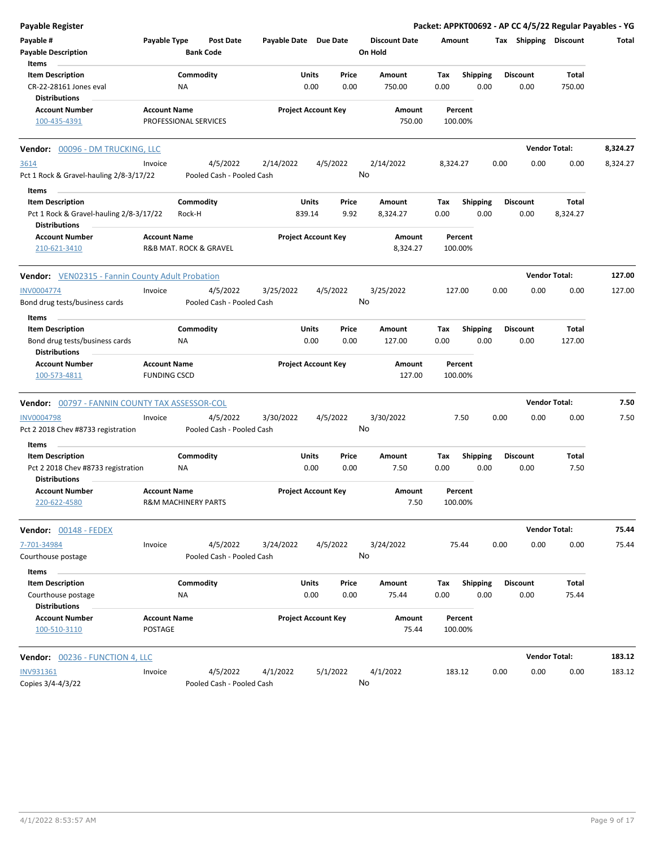| <b>Payable Register</b>                                 |                       |           |                           |                       |                            |          |                      |          |                    |      |                       | Packet: APPKT00692 - AP CC 4/5/22 Regular Payables - YG |          |
|---------------------------------------------------------|-----------------------|-----------|---------------------------|-----------------------|----------------------------|----------|----------------------|----------|--------------------|------|-----------------------|---------------------------------------------------------|----------|
| Payable #                                               | Payable Type          |           | <b>Post Date</b>          | Payable Date Due Date |                            |          | <b>Discount Date</b> |          | Amount             |      | Tax Shipping Discount |                                                         | Total    |
| <b>Payable Description</b>                              |                       |           | <b>Bank Code</b>          |                       |                            |          | On Hold              |          |                    |      |                       |                                                         |          |
| Items                                                   |                       |           |                           |                       |                            |          |                      |          |                    |      |                       |                                                         |          |
| <b>Item Description</b>                                 |                       | Commodity |                           |                       | Units                      | Price    | Amount               | Tax      | <b>Shipping</b>    |      | <b>Discount</b>       | Total                                                   |          |
| CR-22-28161 Jones eval                                  |                       | ΝA        |                           |                       | 0.00                       | 0.00     | 750.00               | 0.00     | 0.00               |      | 0.00                  | 750.00                                                  |          |
| <b>Distributions</b>                                    |                       |           |                           |                       |                            |          |                      |          |                    |      |                       |                                                         |          |
| <b>Account Number</b>                                   | <b>Account Name</b>   |           |                           |                       | <b>Project Account Key</b> |          | Amount               |          | Percent            |      |                       |                                                         |          |
| 100-435-4391                                            | PROFESSIONAL SERVICES |           |                           |                       |                            |          | 750.00               |          | 100.00%            |      |                       |                                                         |          |
| Vendor: 00096 - DM TRUCKING, LLC                        |                       |           |                           |                       |                            |          |                      |          |                    |      |                       | <b>Vendor Total:</b>                                    | 8,324.27 |
| 3614                                                    | Invoice               |           | 4/5/2022                  | 2/14/2022             |                            | 4/5/2022 | 2/14/2022            | 8,324.27 |                    | 0.00 | 0.00                  | 0.00                                                    | 8,324.27 |
| Pct 1 Rock & Gravel-hauling 2/8-3/17/22                 |                       |           | Pooled Cash - Pooled Cash |                       |                            |          | No                   |          |                    |      |                       |                                                         |          |
| Items                                                   |                       |           |                           |                       |                            |          |                      |          |                    |      |                       |                                                         |          |
| <b>Item Description</b>                                 |                       | Commodity |                           |                       | Units                      | Price    | Amount               | Tax      | <b>Shipping</b>    |      | <b>Discount</b>       | Total                                                   |          |
| Pct 1 Rock & Gravel-hauling 2/8-3/17/22                 |                       | Rock-H    |                           |                       | 839.14                     | 9.92     | 8,324.27             | 0.00     | 0.00               |      | 0.00                  | 8,324.27                                                |          |
| Distributions                                           |                       |           |                           |                       |                            |          |                      |          |                    |      |                       |                                                         |          |
| <b>Account Number</b><br>210-621-3410                   | <b>Account Name</b>   |           | R&B MAT. ROCK & GRAVEL    |                       | <b>Project Account Key</b> |          | Amount<br>8,324.27   |          | Percent<br>100.00% |      |                       |                                                         |          |
| <b>Vendor:</b> VEN02315 - Fannin County Adult Probation |                       |           |                           |                       |                            |          |                      |          |                    |      |                       | <b>Vendor Total:</b>                                    | 127.00   |
| <b>INV0004774</b>                                       | Invoice               |           | 4/5/2022                  | 3/25/2022             |                            | 4/5/2022 | 3/25/2022            |          | 127.00             | 0.00 | 0.00                  | 0.00                                                    | 127.00   |
| Bond drug tests/business cards                          |                       |           | Pooled Cash - Pooled Cash |                       |                            |          | No                   |          |                    |      |                       |                                                         |          |
| Items                                                   |                       |           |                           |                       |                            |          |                      |          |                    |      |                       |                                                         |          |
| <b>Item Description</b>                                 |                       | Commodity |                           |                       | Units                      | Price    | Amount               | Tax      | <b>Shipping</b>    |      | <b>Discount</b>       | Total                                                   |          |
| Bond drug tests/business cards                          |                       | ΝA        |                           |                       | 0.00                       | 0.00     | 127.00               | 0.00     | 0.00               |      | 0.00                  | 127.00                                                  |          |
| <b>Distributions</b>                                    |                       |           |                           |                       |                            |          |                      |          |                    |      |                       |                                                         |          |
| <b>Account Number</b>                                   | <b>Account Name</b>   |           |                           |                       | <b>Project Account Key</b> |          | Amount               |          | Percent            |      |                       |                                                         |          |
| 100-573-4811                                            | <b>FUNDING CSCD</b>   |           |                           |                       |                            |          | 127.00               |          | 100.00%            |      |                       |                                                         |          |
| Vendor: 00797 - FANNIN COUNTY TAX ASSESSOR-COL          |                       |           |                           |                       |                            |          |                      |          |                    |      |                       | <b>Vendor Total:</b>                                    | 7.50     |
| <b>INV0004798</b>                                       | Invoice               |           | 4/5/2022                  | 3/30/2022             |                            | 4/5/2022 | 3/30/2022            |          | 7.50               | 0.00 | 0.00                  | 0.00                                                    | 7.50     |
| Pct 2 2018 Chev #8733 registration                      |                       |           | Pooled Cash - Pooled Cash |                       |                            |          | No                   |          |                    |      |                       |                                                         |          |
| Items                                                   |                       |           |                           |                       |                            |          |                      |          |                    |      |                       |                                                         |          |
| <b>Item Description</b>                                 |                       | Commodity |                           |                       | Units                      | Price    | Amount               | Тах      | Shipping           |      | <b>Discount</b>       | Total                                                   |          |
| Pct 2 2018 Chev #8733 registration                      |                       | ΝA        |                           |                       | 0.00                       | 0.00     | 7.50                 | 0.00     | 0.00               |      | 0.00                  | 7.50                                                    |          |
| Distributions                                           |                       |           |                           |                       |                            |          |                      |          |                    |      |                       |                                                         |          |
| Account Number                                          | <b>Account Name</b>   |           |                           |                       | <b>Project Account Key</b> |          | Amount               |          | Percent            |      |                       |                                                         |          |
| 220-622-4580                                            | R&M MACHINERY PARTS   |           |                           |                       |                            |          | 7.50                 |          | 100.00%            |      |                       |                                                         |          |
| Vendor: 00148 - FEDEX                                   |                       |           |                           |                       |                            |          |                      |          |                    |      |                       | <b>Vendor Total:</b>                                    | 75.44    |
| 7-701-34984                                             | Invoice               |           | 4/5/2022                  | 3/24/2022             |                            | 4/5/2022 | 3/24/2022            |          | 75.44              | 0.00 | 0.00                  | 0.00                                                    | 75.44    |
| Courthouse postage                                      |                       |           | Pooled Cash - Pooled Cash |                       |                            |          | No                   |          |                    |      |                       |                                                         |          |
| Items                                                   |                       |           |                           |                       |                            |          |                      |          |                    |      |                       |                                                         |          |
| <b>Item Description</b>                                 |                       | Commodity |                           |                       | Units                      | Price    | Amount               | Tax      | <b>Shipping</b>    |      | <b>Discount</b>       | Total                                                   |          |
| Courthouse postage                                      |                       | ΝA        |                           |                       | 0.00                       | 0.00     | 75.44                | 0.00     | 0.00               |      | 0.00                  | 75.44                                                   |          |
| <b>Distributions</b>                                    |                       |           |                           |                       |                            |          |                      |          |                    |      |                       |                                                         |          |
| <b>Account Number</b>                                   | <b>Account Name</b>   |           |                           |                       | <b>Project Account Key</b> |          | Amount               |          | Percent            |      |                       |                                                         |          |
| 100-510-3110                                            | POSTAGE               |           |                           |                       |                            |          | 75.44                |          | 100.00%            |      |                       |                                                         |          |
| <b>Vendor: 00236 - FUNCTION 4, LLC</b>                  |                       |           |                           |                       |                            |          |                      |          |                    |      |                       | <b>Vendor Total:</b>                                    | 183.12   |
| <b>INV931361</b>                                        | Invoice               |           | 4/5/2022                  | 4/1/2022              |                            | 5/1/2022 | 4/1/2022             |          | 183.12             | 0.00 | 0.00                  | 0.00                                                    | 183.12   |
| Copies 3/4-4/3/22                                       |                       |           | Pooled Cash - Pooled Cash |                       |                            |          | No                   |          |                    |      |                       |                                                         |          |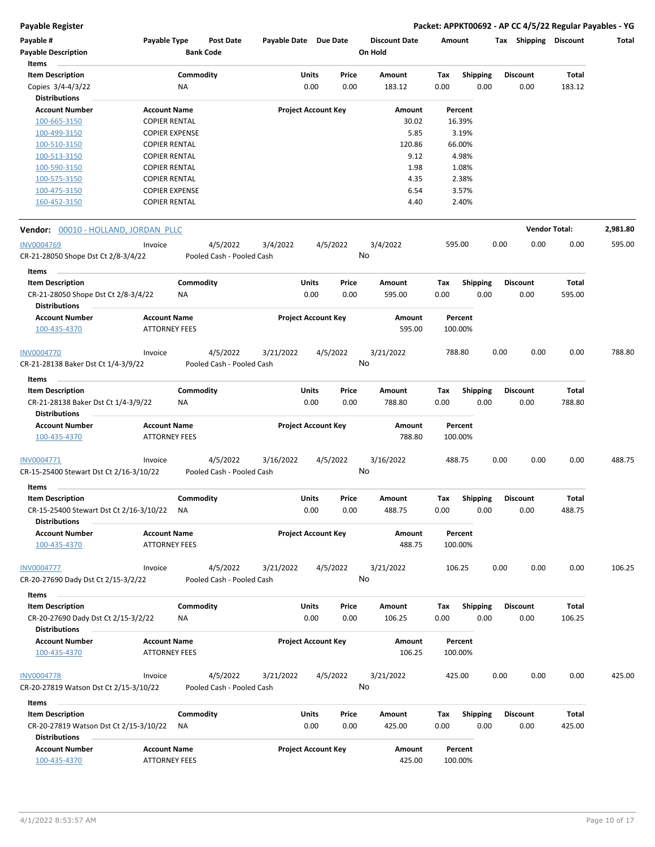**Payable Register Packet: APPKT00692 - AP CC 4/5/22 Regular Payables - YG**

| Payable #                                                       | Payable Type          |           | Post Date                             | Payable Date Due Date |                            |          | <b>Discount Date</b> | Amount |                 | Tax  | Shipping             | <b>Discount</b> | Total    |
|-----------------------------------------------------------------|-----------------------|-----------|---------------------------------------|-----------------------|----------------------------|----------|----------------------|--------|-----------------|------|----------------------|-----------------|----------|
| <b>Payable Description</b>                                      |                       |           | <b>Bank Code</b>                      |                       |                            |          | On Hold              |        |                 |      |                      |                 |          |
| Items                                                           |                       |           |                                       |                       |                            |          |                      |        |                 |      |                      |                 |          |
| <b>Item Description</b>                                         |                       | Commodity |                                       |                       | Units                      | Price    | Amount               | Tax    | <b>Shipping</b> |      | Discount             | Total           |          |
| Copies 3/4-4/3/22                                               |                       | ΝA        |                                       |                       | 0.00                       | 0.00     | 183.12               | 0.00   | 0.00            |      | 0.00                 | 183.12          |          |
| <b>Distributions</b>                                            |                       |           |                                       |                       |                            |          |                      |        |                 |      |                      |                 |          |
| <b>Account Number</b>                                           | <b>Account Name</b>   |           |                                       |                       | <b>Project Account Key</b> |          | Amount               |        | Percent         |      |                      |                 |          |
| 100-665-3150                                                    | <b>COPIER RENTAL</b>  |           |                                       |                       |                            |          | 30.02                |        | 16.39%          |      |                      |                 |          |
| 100-499-3150                                                    | <b>COPIER EXPENSE</b> |           |                                       |                       |                            |          | 5.85                 |        | 3.19%           |      |                      |                 |          |
| 100-510-3150                                                    | <b>COPIER RENTAL</b>  |           |                                       |                       |                            |          | 120.86               |        | 66.00%          |      |                      |                 |          |
| 100-513-3150                                                    | <b>COPIER RENTAL</b>  |           |                                       |                       |                            |          | 9.12                 |        | 4.98%           |      |                      |                 |          |
| 100-590-3150                                                    | <b>COPIER RENTAL</b>  |           |                                       |                       |                            |          | 1.98                 |        | 1.08%           |      |                      |                 |          |
| 100-575-3150                                                    | <b>COPIER RENTAL</b>  |           |                                       |                       |                            |          | 4.35                 |        | 2.38%           |      |                      |                 |          |
| 100-475-3150                                                    | <b>COPIER EXPENSE</b> |           |                                       |                       |                            |          | 6.54                 |        | 3.57%           |      |                      |                 |          |
| 160-452-3150                                                    | <b>COPIER RENTAL</b>  |           |                                       |                       |                            |          | 4.40                 |        | 2.40%           |      |                      |                 |          |
| Vendor: 00010 - HOLLAND, JORDAN PLLC                            |                       |           |                                       |                       |                            |          |                      |        |                 |      | <b>Vendor Total:</b> |                 | 2,981.80 |
|                                                                 |                       |           |                                       |                       |                            |          |                      |        |                 |      |                      |                 |          |
| <b>INV0004769</b><br>CR-21-28050 Shope Dst Ct 2/8-3/4/22        | Invoice               |           | 4/5/2022<br>Pooled Cash - Pooled Cash | 3/4/2022              |                            | 4/5/2022 | 3/4/2022<br>No       |        | 595.00          | 0.00 | 0.00                 | 0.00            | 595.00   |
| Items                                                           |                       |           |                                       |                       |                            |          |                      |        |                 |      |                      |                 |          |
| <b>Item Description</b>                                         |                       | Commodity |                                       |                       | Units                      | Price    | Amount               | Tax    | <b>Shipping</b> |      | Discount             | <b>Total</b>    |          |
| CR-21-28050 Shope Dst Ct 2/8-3/4/22                             |                       | ΝA        |                                       |                       | 0.00                       | 0.00     | 595.00               | 0.00   | 0.00            |      | 0.00                 | 595.00          |          |
| <b>Distributions</b>                                            |                       |           |                                       |                       |                            |          |                      |        |                 |      |                      |                 |          |
| <b>Account Number</b>                                           | <b>Account Name</b>   |           |                                       |                       | <b>Project Account Key</b> |          | Amount               |        | Percent         |      |                      |                 |          |
| 100-435-4370                                                    | <b>ATTORNEY FEES</b>  |           |                                       |                       |                            |          | 595.00               |        | 100.00%         |      |                      |                 |          |
|                                                                 | Invoice               |           | 4/5/2022                              |                       |                            |          |                      |        | 788.80          | 0.00 | 0.00                 | 0.00            | 788.80   |
| INV0004770<br>CR-21-28138 Baker Dst Ct 1/4-3/9/22               |                       |           | Pooled Cash - Pooled Cash             | 3/21/2022             |                            | 4/5/2022 | 3/21/2022<br>No      |        |                 |      |                      |                 |          |
| Items                                                           |                       |           |                                       |                       |                            |          |                      |        |                 |      |                      |                 |          |
| <b>Item Description</b>                                         |                       | Commodity |                                       |                       | Units                      | Price    | Amount               | Tax    | <b>Shipping</b> |      | <b>Discount</b>      | <b>Total</b>    |          |
| CR-21-28138 Baker Dst Ct 1/4-3/9/22                             |                       | ΝA        |                                       |                       | 0.00                       | 0.00     | 788.80               | 0.00   | 0.00            |      | 0.00                 | 788.80          |          |
| <b>Distributions</b>                                            |                       |           |                                       |                       |                            |          |                      |        |                 |      |                      |                 |          |
| <b>Account Number</b>                                           | <b>Account Name</b>   |           |                                       |                       | <b>Project Account Key</b> |          | Amount               |        | Percent         |      |                      |                 |          |
| 100-435-4370                                                    | <b>ATTORNEY FEES</b>  |           |                                       |                       |                            |          | 788.80               |        | 100.00%         |      |                      |                 |          |
|                                                                 |                       |           |                                       |                       |                            | 4/5/2022 | 3/16/2022            |        | 488.75          | 0.00 | 0.00                 | 0.00            | 488.75   |
| INV0004771<br>CR-15-25400 Stewart Dst Ct 2/16-3/10/22           | Invoice               |           | 4/5/2022<br>Pooled Cash - Pooled Cash | 3/16/2022             |                            |          | No                   |        |                 |      |                      |                 |          |
|                                                                 |                       |           |                                       |                       |                            |          |                      |        |                 |      |                      |                 |          |
| Items                                                           |                       |           |                                       |                       |                            |          |                      |        |                 |      |                      |                 |          |
| <b>Item Description</b>                                         |                       | Commodity |                                       |                       | Units                      | Price    | Amount               | Tax    | <b>Shipping</b> |      | <b>Discount</b>      | <b>Total</b>    |          |
| CR-15-25400 Stewart Dst Ct 2/16-3/10/22<br><b>Distributions</b> |                       | ΝA        |                                       |                       | 0.00                       | 0.00     | 488.75               | 0.00   | 0.00            |      | 0.00                 | 488.75          |          |
| <b>Account Number</b>                                           | <b>Account Name</b>   |           |                                       |                       | <b>Project Account Key</b> |          | Amount               |        | Percent         |      |                      |                 |          |
| 100-435-4370                                                    | <b>ATTORNEY FEES</b>  |           |                                       |                       |                            |          | 488.75               |        | 100.00%         |      |                      |                 |          |
| <b>INV0004777</b>                                               | Invoice               |           | 4/5/2022                              | 3/21/2022             |                            | 4/5/2022 | 3/21/2022            |        | 106.25          | 0.00 | 0.00                 | 0.00            | 106.25   |
| CR-20-27690 Dady Dst Ct 2/15-3/2/22                             |                       |           | Pooled Cash - Pooled Cash             |                       |                            |          | No                   |        |                 |      |                      |                 |          |
| Items                                                           |                       |           |                                       |                       |                            |          |                      |        |                 |      |                      |                 |          |
|                                                                 |                       | Commodity |                                       |                       |                            |          |                      |        |                 |      | <b>Discount</b>      |                 |          |
| <b>Item Description</b>                                         |                       |           |                                       |                       | Units                      | Price    | Amount               | Tax    | <b>Shipping</b> |      |                      | <b>Total</b>    |          |
| CR-20-27690 Dady Dst Ct 2/15-3/2/22<br><b>Distributions</b>     |                       | ΝA        |                                       |                       | 0.00                       | 0.00     | 106.25               | 0.00   | 0.00            |      | 0.00                 | 106.25          |          |
|                                                                 |                       |           |                                       |                       |                            |          |                      |        | Percent         |      |                      |                 |          |
| <b>Account Number</b>                                           | <b>Account Name</b>   |           |                                       |                       | <b>Project Account Key</b> |          | Amount               |        |                 |      |                      |                 |          |
| 100-435-4370                                                    | <b>ATTORNEY FEES</b>  |           |                                       |                       |                            |          | 106.25               |        | 100.00%         |      |                      |                 |          |
| <b>INV0004778</b>                                               | Invoice               |           | 4/5/2022                              | 3/21/2022             |                            | 4/5/2022 | 3/21/2022            |        | 425.00          | 0.00 | 0.00                 | 0.00            | 425.00   |
| CR-20-27819 Watson Dst Ct 2/15-3/10/22                          |                       |           | Pooled Cash - Pooled Cash             |                       |                            |          | No                   |        |                 |      |                      |                 |          |
| Items                                                           |                       |           |                                       |                       |                            |          |                      |        |                 |      |                      |                 |          |
| <b>Item Description</b>                                         |                       | Commodity |                                       |                       | Units                      | Price    | Amount               | Tax    | <b>Shipping</b> |      | <b>Discount</b>      | Total           |          |
| CR-20-27819 Watson Dst Ct 2/15-3/10/22                          |                       | ΝA        |                                       |                       | 0.00                       | 0.00     | 425.00               | 0.00   | 0.00            |      | 0.00                 | 425.00          |          |
| <b>Distributions</b>                                            |                       |           |                                       |                       |                            |          |                      |        |                 |      |                      |                 |          |
| <b>Account Number</b>                                           | <b>Account Name</b>   |           |                                       |                       | <b>Project Account Key</b> |          | Amount               |        | Percent         |      |                      |                 |          |
| 100-435-4370                                                    | <b>ATTORNEY FEES</b>  |           |                                       |                       |                            |          | 425.00               |        | 100.00%         |      |                      |                 |          |
|                                                                 |                       |           |                                       |                       |                            |          |                      |        |                 |      |                      |                 |          |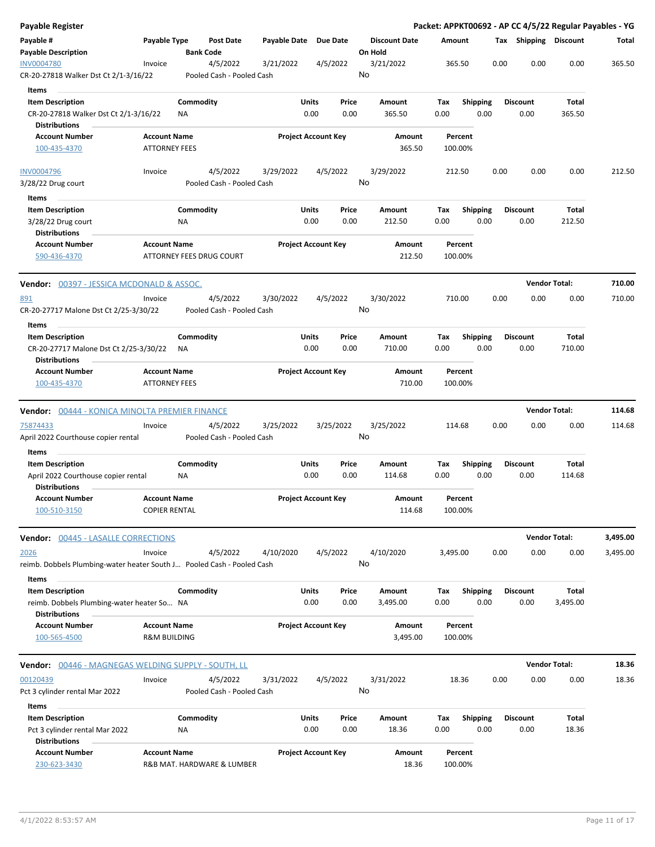| <b>Payable Register</b>                                                                   |                                                |                                       |                       |                                |                                 |                    |                         |                         | Packet: APPKT00692 - AP CC 4/5/22 Regular Payables - YG |          |
|-------------------------------------------------------------------------------------------|------------------------------------------------|---------------------------------------|-----------------------|--------------------------------|---------------------------------|--------------------|-------------------------|-------------------------|---------------------------------------------------------|----------|
| Payable #<br><b>Payable Description</b>                                                   | Payable Type                                   | <b>Post Date</b><br><b>Bank Code</b>  | Payable Date Due Date |                                | <b>Discount Date</b><br>On Hold | Amount             |                         |                         | Tax Shipping Discount                                   | Total    |
| <b>INV0004780</b><br>CR-20-27818 Walker Dst Ct 2/1-3/16/22                                | Invoice                                        | 4/5/2022<br>Pooled Cash - Pooled Cash | 3/21/2022             | 4/5/2022                       | 3/21/2022<br>No                 | 365.50             |                         | 0.00                    | 0.00<br>0.00                                            | 365.50   |
|                                                                                           |                                                |                                       |                       |                                |                                 |                    |                         |                         |                                                         |          |
| Items                                                                                     |                                                |                                       |                       | Units<br>Price                 |                                 |                    |                         |                         |                                                         |          |
| <b>Item Description</b><br>CR-20-27818 Walker Dst Ct 2/1-3/16/22                          |                                                | Commodity<br>ΝA                       |                       | 0.00<br>0.00                   | Amount<br>365.50                | Tax<br>0.00        | <b>Shipping</b><br>0.00 | <b>Discount</b><br>0.00 | Total<br>365.50                                         |          |
| <b>Distributions</b>                                                                      |                                                |                                       |                       |                                |                                 |                    |                         |                         |                                                         |          |
| <b>Account Number</b><br>100-435-4370                                                     | <b>Account Name</b><br><b>ATTORNEY FEES</b>    |                                       |                       | <b>Project Account Key</b>     | Amount<br>365.50                | Percent<br>100.00% |                         |                         |                                                         |          |
|                                                                                           |                                                |                                       |                       |                                |                                 |                    |                         |                         |                                                         |          |
| <b>INV0004796</b><br>3/28/22 Drug court                                                   | Invoice                                        | 4/5/2022<br>Pooled Cash - Pooled Cash | 3/29/2022             | 4/5/2022                       | 3/29/2022<br>No                 | 212.50             |                         | 0.00                    | 0.00<br>0.00                                            | 212.50   |
| Items                                                                                     |                                                |                                       |                       |                                |                                 |                    |                         |                         |                                                         |          |
| <b>Item Description</b>                                                                   |                                                | Commodity                             |                       | Units<br>Price                 | Amount                          | Tax                | <b>Shipping</b>         | <b>Discount</b>         | Total                                                   |          |
| 3/28/22 Drug court<br><b>Distributions</b>                                                |                                                | NA                                    |                       | 0.00<br>0.00                   | 212.50                          | 0.00               | 0.00                    | 0.00                    | 212.50                                                  |          |
| <b>Account Number</b><br>590-436-4370                                                     | <b>Account Name</b>                            | ATTORNEY FEES DRUG COURT              |                       | <b>Project Account Key</b>     | Amount<br>212.50                | Percent<br>100.00% |                         |                         |                                                         |          |
| <b>Vendor: 00397 - JESSICA MCDONALD &amp; ASSOC.</b>                                      |                                                |                                       |                       |                                |                                 |                    |                         |                         | <b>Vendor Total:</b>                                    | 710.00   |
| 891                                                                                       | Invoice                                        | 4/5/2022                              | 3/30/2022             | 4/5/2022                       | 3/30/2022                       | 710.00             |                         | 0.00                    | 0.00<br>0.00                                            | 710.00   |
| CR-20-27717 Malone Dst Ct 2/25-3/30/22                                                    |                                                | Pooled Cash - Pooled Cash             |                       |                                | No                              |                    |                         |                         |                                                         |          |
| Items                                                                                     |                                                |                                       |                       |                                |                                 |                    |                         |                         |                                                         |          |
| <b>Item Description</b><br>CR-20-27717 Malone Dst Ct 2/25-3/30/22<br><b>Distributions</b> |                                                | Commodity<br>ΝA                       |                       | Units<br>Price<br>0.00<br>0.00 | Amount<br>710.00                | Tax<br>0.00        | <b>Shipping</b><br>0.00 | <b>Discount</b><br>0.00 | Total<br>710.00                                         |          |
| <b>Account Number</b>                                                                     | <b>Account Name</b>                            |                                       |                       | <b>Project Account Key</b>     | Amount                          | Percent            |                         |                         |                                                         |          |
| 100-435-4370                                                                              | <b>ATTORNEY FEES</b>                           |                                       |                       |                                | 710.00                          | 100.00%            |                         |                         |                                                         |          |
| <b>Vendor: 00444 - KONICA MINOLTA PREMIER FINANCE</b>                                     |                                                |                                       |                       |                                |                                 |                    |                         |                         | <b>Vendor Total:</b>                                    | 114.68   |
| 75874433                                                                                  | Invoice                                        | 4/5/2022                              | 3/25/2022             | 3/25/2022                      | 3/25/2022                       | 114.68             |                         | 0.00                    | 0.00<br>0.00                                            | 114.68   |
| April 2022 Courthouse copier rental                                                       |                                                | Pooled Cash - Pooled Cash             |                       |                                | No                              |                    |                         |                         |                                                         |          |
| Items                                                                                     |                                                |                                       |                       |                                |                                 |                    |                         |                         |                                                         |          |
| <b>Item Description</b>                                                                   |                                                | Commodity                             |                       | Units<br>Price                 | Amount                          | Tax                | <b>Shipping</b>         | <b>Discount</b>         | Total                                                   |          |
| April 2022 Courthouse copier rental<br><b>Distributions</b>                               |                                                | ΝA                                    |                       | 0.00<br>0.00                   | 114.68                          | 0.00               | 0.00                    | 0.00                    | 114.68                                                  |          |
| <b>Account Number</b><br>100-510-3150                                                     | <b>Account Name</b><br><b>COPIER RENTAL</b>    |                                       |                       | <b>Project Account Key</b>     | <b>Amount</b><br>114.68         | Percent<br>100.00% |                         |                         |                                                         |          |
| Vendor: 00445 - LASALLE CORRECTIONS                                                       |                                                |                                       |                       |                                |                                 |                    |                         |                         | <b>Vendor Total:</b>                                    | 3,495.00 |
| 2026                                                                                      | Invoice                                        | 4/5/2022                              | 4/10/2020             | 4/5/2022                       | 4/10/2020                       | 3,495.00           |                         | 0.00                    | 0.00<br>0.00                                            | 3,495.00 |
| reimb. Dobbels Plumbing-water heater South J Pooled Cash - Pooled Cash                    |                                                |                                       |                       |                                | No                              |                    |                         |                         |                                                         |          |
| Items<br><b>Item Description</b>                                                          |                                                | Commodity                             |                       | <b>Units</b><br>Price          | Amount                          | Tax                | <b>Shipping</b>         | <b>Discount</b>         | Total                                                   |          |
| reimb. Dobbels Plumbing-water heater So NA                                                |                                                |                                       |                       | 0.00<br>0.00                   | 3,495.00                        | 0.00               | 0.00                    | 0.00                    | 3,495.00                                                |          |
| <b>Distributions</b>                                                                      |                                                |                                       |                       |                                |                                 |                    |                         |                         |                                                         |          |
| <b>Account Number</b><br>100-565-4500                                                     | <b>Account Name</b><br><b>R&amp;M BUILDING</b> |                                       |                       | <b>Project Account Key</b>     | Amount<br>3,495.00              | Percent<br>100.00% |                         |                         |                                                         |          |
|                                                                                           |                                                |                                       |                       |                                |                                 |                    |                         |                         |                                                         |          |
| Vendor: 00446 - MAGNEGAS WELDING SUPPLY - SOUTH, LL                                       |                                                |                                       |                       |                                |                                 |                    |                         |                         | <b>Vendor Total:</b>                                    | 18.36    |
| 00120439                                                                                  | Invoice                                        | 4/5/2022                              | 3/31/2022             | 4/5/2022                       | 3/31/2022                       | 18.36              |                         | 0.00                    | 0.00<br>0.00                                            | 18.36    |
| Pct 3 cylinder rental Mar 2022                                                            |                                                | Pooled Cash - Pooled Cash             |                       |                                | No                              |                    |                         |                         |                                                         |          |
| Items<br><b>Item Description</b>                                                          |                                                | Commodity                             |                       | <b>Units</b><br>Price          | Amount                          | Tax                | <b>Shipping</b>         | <b>Discount</b>         | Total                                                   |          |
| Pct 3 cylinder rental Mar 2022                                                            |                                                | ΝA                                    |                       | 0.00<br>0.00                   | 18.36                           | 0.00               | 0.00                    | 0.00                    | 18.36                                                   |          |
| <b>Distributions</b><br><b>Account Number</b>                                             | <b>Account Name</b>                            |                                       |                       | <b>Project Account Key</b>     | Amount                          | Percent            |                         |                         |                                                         |          |
| 230-623-3430                                                                              |                                                | R&B MAT. HARDWARE & LUMBER            |                       |                                | 18.36                           | 100.00%            |                         |                         |                                                         |          |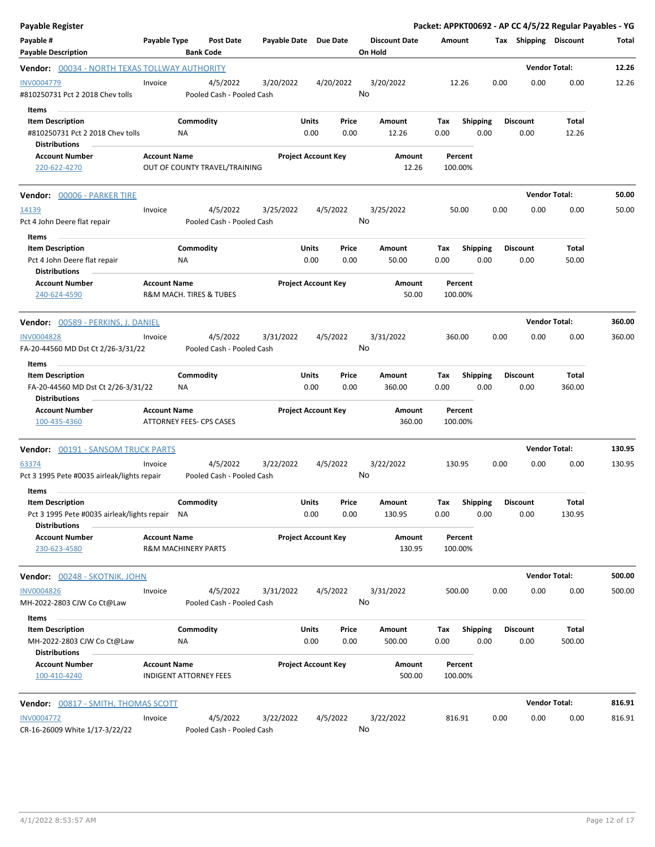| <b>Payable Register</b>                                                                             |                     |                                |                                       |                       |                            |               |                                 |                    |                         |      |                         | Packet: APPKT00692 - AP CC 4/5/22 Regular Payables - YG |        |
|-----------------------------------------------------------------------------------------------------|---------------------|--------------------------------|---------------------------------------|-----------------------|----------------------------|---------------|---------------------------------|--------------------|-------------------------|------|-------------------------|---------------------------------------------------------|--------|
| Payable #<br><b>Payable Description</b>                                                             | Payable Type        | <b>Bank Code</b>               | Post Date                             | Payable Date Due Date |                            |               | <b>Discount Date</b><br>On Hold | Amount             |                         |      | Tax Shipping Discount   |                                                         | Total  |
| <b>Vendor: 00034 - NORTH TEXAS TOLLWAY AUTHORITY</b>                                                |                     |                                |                                       |                       |                            |               |                                 |                    |                         |      |                         | <b>Vendor Total:</b>                                    | 12.26  |
| INV0004779<br>#810250731 Pct 2 2018 Chev tolls                                                      | Invoice             |                                | 4/5/2022<br>Pooled Cash - Pooled Cash | 3/20/2022             |                            | 4/20/2022     | 3/20/2022<br>No                 | 12.26              |                         | 0.00 | 0.00                    | 0.00                                                    | 12.26  |
| Items<br><b>Item Description</b><br>#810250731 Pct 2 2018 Chev tolls<br><b>Distributions</b>        |                     | Commodity<br>NA.               |                                       |                       | Units<br>0.00              | Price<br>0.00 | Amount<br>12.26                 | Тах<br>0.00        | <b>Shipping</b><br>0.00 |      | <b>Discount</b><br>0.00 | Total<br>12.26                                          |        |
| <b>Account Number</b><br>220-622-4270                                                               | <b>Account Name</b> | OUT OF COUNTY TRAVEL/TRAINING  |                                       |                       | <b>Project Account Key</b> |               | Amount<br>12.26                 | Percent<br>100.00% |                         |      |                         |                                                         |        |
| Vendor: 00006 - PARKER TIRE                                                                         |                     |                                |                                       |                       |                            |               |                                 |                    |                         |      |                         | <b>Vendor Total:</b>                                    | 50.00  |
| 14139<br>Pct 4 John Deere flat repair                                                               | Invoice             |                                | 4/5/2022<br>Pooled Cash - Pooled Cash | 3/25/2022             |                            | 4/5/2022      | 3/25/2022<br>No                 | 50.00              |                         | 0.00 | 0.00                    | 0.00                                                    | 50.00  |
| Items<br><b>Item Description</b><br>Pct 4 John Deere flat repair<br><b>Distributions</b>            |                     | Commodity<br>ΝA                |                                       |                       | Units<br>0.00              | Price<br>0.00 | Amount<br>50.00                 | Tax<br>0.00        | <b>Shipping</b><br>0.00 |      | <b>Discount</b><br>0.00 | Total<br>50.00                                          |        |
| <b>Account Number</b><br>240-624-4590                                                               | <b>Account Name</b> | R&M MACH. TIRES & TUBES        |                                       |                       | <b>Project Account Key</b> |               | Amount<br>50.00                 | Percent<br>100.00% |                         |      |                         |                                                         |        |
| Vendor: 00589 - PERKINS, J. DANIEL                                                                  |                     |                                |                                       |                       |                            |               |                                 |                    |                         |      |                         | <b>Vendor Total:</b>                                    | 360.00 |
| <b>INV0004828</b><br>FA-20-44560 MD Dst Ct 2/26-3/31/22                                             | Invoice             |                                | 4/5/2022<br>Pooled Cash - Pooled Cash | 3/31/2022             |                            | 4/5/2022      | 3/31/2022<br>No                 | 360.00             |                         | 0.00 | 0.00                    | 0.00                                                    | 360.00 |
| Items<br><b>Item Description</b>                                                                    |                     | Commodity                      |                                       |                       | Units                      | Price         | Amount                          | Tax                | Shipping                |      | <b>Discount</b>         | Total                                                   |        |
| FA-20-44560 MD Dst Ct 2/26-3/31/22<br><b>Distributions</b>                                          |                     | NA                             |                                       |                       | 0.00                       | 0.00          | 360.00                          | 0.00               | 0.00                    |      | 0.00                    | 360.00                                                  |        |
| <b>Account Number</b><br>100-435-4360                                                               | <b>Account Name</b> | ATTORNEY FEES- CPS CASES       |                                       |                       | <b>Project Account Key</b> |               | Amount<br>360.00                | Percent<br>100.00% |                         |      |                         |                                                         |        |
| <b>Vendor: 00191 - SANSOM TRUCK PARTS</b>                                                           |                     |                                |                                       |                       |                            |               |                                 |                    |                         |      |                         | <b>Vendor Total:</b>                                    | 130.95 |
| 63374<br>Pct 3 1995 Pete #0035 airleak/lights repair                                                | Invoice             |                                | 4/5/2022<br>Pooled Cash - Pooled Cash | 3/22/2022             |                            | 4/5/2022      | 3/22/2022<br>No                 | 130.95             |                         | 0.00 | 0.00                    | 0.00                                                    | 130.95 |
| Items<br>Item Description<br>Pct 3 1995 Pete #0035 airleak/lights repair NA<br><b>Distributions</b> |                     | Commodity                      |                                       |                       | Units<br>0.00              | Price<br>0.00 | Amount<br>130.95                | Tax<br>0.00        | Shipping<br>0.00        |      | <b>Discount</b><br>0.00 | <b>Total</b><br>130.95                                  |        |
| <b>Account Number</b><br>230-623-4580                                                               | <b>Account Name</b> | <b>R&amp;M MACHINERY PARTS</b> |                                       |                       | <b>Project Account Key</b> |               | Amount<br>130.95                | Percent<br>100.00% |                         |      |                         |                                                         |        |
| Vendor: 00248 - SKOTNIK, JOHN                                                                       |                     |                                |                                       |                       |                            |               |                                 |                    |                         |      |                         | <b>Vendor Total:</b>                                    | 500.00 |
| <b>INV0004826</b><br>MH-2022-2803 CJW Co Ct@Law<br>Items                                            | Invoice             |                                | 4/5/2022<br>Pooled Cash - Pooled Cash | 3/31/2022             |                            | 4/5/2022      | 3/31/2022<br>No                 | 500.00             |                         | 0.00 | 0.00                    | 0.00                                                    | 500.00 |
| <b>Item Description</b><br>MH-2022-2803 CJW Co Ct@Law                                               |                     | Commodity<br>NA                |                                       |                       | Units<br>0.00              | Price<br>0.00 | Amount<br>500.00                | Tax<br>0.00        | <b>Shipping</b><br>0.00 |      | <b>Discount</b><br>0.00 | Total<br>500.00                                         |        |
| <b>Distributions</b><br><b>Account Number</b><br>100-410-4240                                       | <b>Account Name</b> | <b>INDIGENT ATTORNEY FEES</b>  |                                       |                       | <b>Project Account Key</b> |               | Amount<br>500.00                | Percent<br>100.00% |                         |      |                         |                                                         |        |
| Vendor: 00817 - SMITH, THOMAS SCOTT                                                                 |                     |                                |                                       |                       |                            |               |                                 |                    |                         |      |                         | <b>Vendor Total:</b>                                    | 816.91 |
| <b>INV0004772</b><br>CR-16-26009 White 1/17-3/22/22                                                 | Invoice             |                                | 4/5/2022<br>Pooled Cash - Pooled Cash | 3/22/2022             |                            | 4/5/2022      | 3/22/2022<br>No                 | 816.91             |                         | 0.00 | 0.00                    | 0.00                                                    | 816.91 |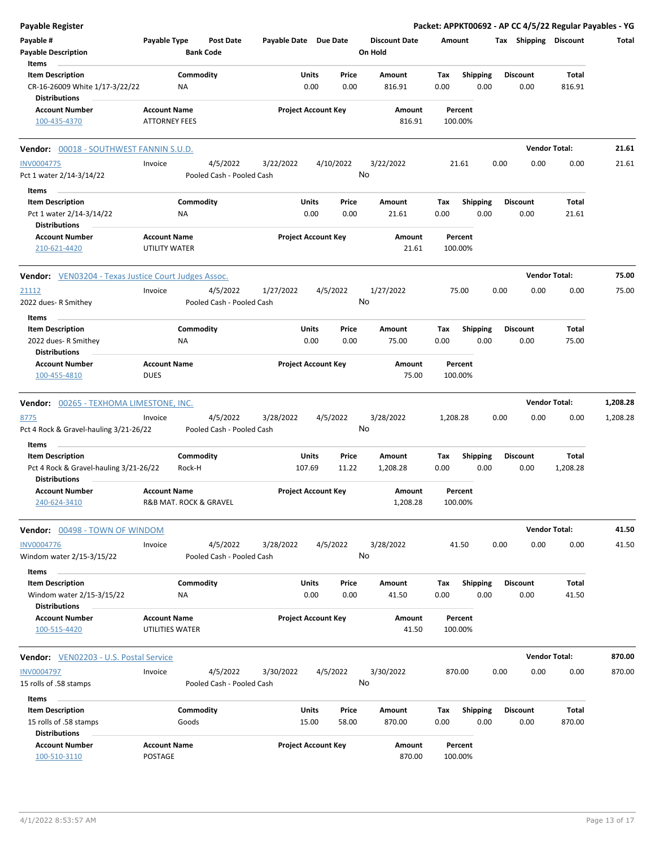| <b>Payable Register</b>                                                            |                                               |                                       |                       |                                |                                 |                    |                         | Packet: APPKT00692 - AP CC 4/5/22 Regular Payables - YG |                      |          |
|------------------------------------------------------------------------------------|-----------------------------------------------|---------------------------------------|-----------------------|--------------------------------|---------------------------------|--------------------|-------------------------|---------------------------------------------------------|----------------------|----------|
| Payable #<br><b>Payable Description</b>                                            | Payable Type                                  | <b>Post Date</b><br><b>Bank Code</b>  | Payable Date Due Date |                                | <b>Discount Date</b><br>On Hold | Amount             |                         | Tax Shipping Discount                                   |                      | Total    |
| Items                                                                              |                                               |                                       |                       |                                |                                 |                    |                         |                                                         |                      |          |
| <b>Item Description</b><br>CR-16-26009 White 1/17-3/22/22                          | NA                                            | Commodity                             |                       | Price<br>Units<br>0.00<br>0.00 | Amount<br>816.91                | Tax<br>0.00        | <b>Shipping</b><br>0.00 | Discount<br>0.00                                        | Total<br>816.91      |          |
| <b>Distributions</b><br><b>Account Number</b>                                      | <b>Account Name</b>                           |                                       |                       | <b>Project Account Key</b>     | Amount                          | Percent            |                         |                                                         |                      |          |
| 100-435-4370                                                                       | <b>ATTORNEY FEES</b>                          |                                       |                       |                                | 816.91                          | 100.00%            |                         |                                                         |                      |          |
| <b>Vendor: 00018 - SOUTHWEST FANNIN S.U.D.</b>                                     |                                               |                                       |                       |                                |                                 |                    |                         |                                                         | <b>Vendor Total:</b> | 21.61    |
| <b>INV0004775</b>                                                                  | Invoice                                       | 4/5/2022                              | 3/22/2022             | 4/10/2022                      | 3/22/2022                       | 21.61              |                         | 0.00<br>0.00                                            | 0.00                 | 21.61    |
| Pct 1 water 2/14-3/14/22                                                           |                                               | Pooled Cash - Pooled Cash             |                       |                                | No                              |                    |                         |                                                         |                      |          |
| Items                                                                              |                                               |                                       |                       |                                |                                 |                    |                         |                                                         |                      |          |
| <b>Item Description</b>                                                            |                                               | Commodity                             | Units                 | Price                          | Amount                          | Tax                | <b>Shipping</b>         | <b>Discount</b>                                         | Total                |          |
| Pct 1 water 2/14-3/14/22                                                           | ΝA                                            |                                       |                       | 0.00<br>0.00                   | 21.61                           | 0.00               | 0.00                    | 0.00                                                    | 21.61                |          |
| <b>Distributions</b>                                                               |                                               |                                       |                       |                                |                                 |                    |                         |                                                         |                      |          |
| <b>Account Number</b><br>210-621-4420                                              | <b>Account Name</b><br><b>UTILITY WATER</b>   |                                       |                       | <b>Project Account Key</b>     | Amount<br>21.61                 | Percent<br>100.00% |                         |                                                         |                      |          |
| <b>Vendor:</b> VEN03204 - Texas Justice Court Judges Assoc.                        |                                               |                                       |                       |                                |                                 |                    |                         |                                                         | <b>Vendor Total:</b> | 75.00    |
| 21112<br>2022 dues- R Smithey                                                      | Invoice                                       | 4/5/2022<br>Pooled Cash - Pooled Cash | 1/27/2022             | 4/5/2022                       | 1/27/2022<br>No                 | 75.00              |                         | 0.00<br>0.00                                            | 0.00                 | 75.00    |
| Items                                                                              |                                               |                                       |                       |                                |                                 |                    |                         |                                                         |                      |          |
| <b>Item Description</b>                                                            |                                               | Commodity                             |                       | Units<br>Price                 | Amount                          | Tax                | <b>Shipping</b>         | <b>Discount</b>                                         | Total                |          |
| 2022 dues- R Smithey<br><b>Distributions</b>                                       | ΝA                                            |                                       |                       | 0.00<br>0.00                   | 75.00                           | 0.00               | 0.00                    | 0.00                                                    | 75.00                |          |
| <b>Account Number</b><br>100-455-4810                                              | <b>Account Name</b><br><b>DUES</b>            |                                       |                       | <b>Project Account Key</b>     | Amount<br>75.00                 | Percent<br>100.00% |                         |                                                         |                      |          |
| Vendor: 00265 - TEXHOMA LIMESTONE, INC.                                            |                                               |                                       |                       |                                |                                 |                    |                         |                                                         | <b>Vendor Total:</b> | 1,208.28 |
| 8775                                                                               | Invoice                                       | 4/5/2022                              | 3/28/2022             | 4/5/2022                       | 3/28/2022                       | 1,208.28           |                         | 0.00<br>0.00                                            | 0.00                 | 1,208.28 |
| Pct 4 Rock & Gravel-hauling 3/21-26/22                                             |                                               | Pooled Cash - Pooled Cash             |                       |                                | No                              |                    |                         |                                                         |                      |          |
| Items                                                                              |                                               | Commodity                             | Units                 | Price                          | Amount                          |                    |                         | <b>Discount</b>                                         | Total                |          |
| <b>Item Description</b><br>Pct 4 Rock & Gravel-hauling 3/21-26/22<br>Distributions | Rock-H                                        |                                       | 107.69                | 11.22                          | 1,208.28                        | Тах<br>0.00        | <b>Shipping</b><br>0.00 | 0.00                                                    | 1,208.28             |          |
| Account Number<br>240-624-3410                                                     | <b>Account Name</b><br>R&B MAT. ROCK & GRAVEL |                                       |                       | <b>Project Account Key</b>     | Amount<br>1,208.28              | Percent<br>100.00% |                         |                                                         |                      |          |
| Vendor: 00498 - TOWN OF WINDOM                                                     |                                               |                                       |                       |                                |                                 |                    |                         |                                                         | <b>Vendor Total:</b> | 41.50    |
| INV0004776<br>Windom water 2/15-3/15/22                                            | Invoice                                       | 4/5/2022<br>Pooled Cash - Pooled Cash | 3/28/2022             | 4/5/2022                       | 3/28/2022<br>No                 | 41.50              |                         | 0.00<br>0.00                                            | 0.00                 | 41.50    |
| Items<br><b>Item Description</b><br>Windom water 2/15-3/15/22                      |                                               | Commodity                             |                       | Units<br>Price<br>0.00<br>0.00 | Amount<br>41.50                 | Tax<br>0.00        | <b>Shipping</b><br>0.00 | Discount<br>0.00                                        | Total<br>41.50       |          |
| <b>Distributions</b>                                                               | ΝA                                            |                                       |                       |                                |                                 |                    |                         |                                                         |                      |          |
| <b>Account Number</b><br>100-515-4420                                              | <b>Account Name</b><br>UTILITIES WATER        |                                       |                       | <b>Project Account Key</b>     | Amount<br>41.50                 | Percent<br>100.00% |                         |                                                         |                      |          |
| <b>Vendor:</b> VEN02203 - U.S. Postal Service                                      |                                               |                                       |                       |                                |                                 |                    |                         |                                                         | <b>Vendor Total:</b> | 870.00   |
| <b>INV0004797</b>                                                                  | Invoice                                       | 4/5/2022                              | 3/30/2022             | 4/5/2022                       | 3/30/2022                       | 870.00             |                         | 0.00<br>0.00                                            | 0.00                 | 870.00   |
| 15 rolls of .58 stamps                                                             |                                               | Pooled Cash - Pooled Cash             |                       |                                | No                              |                    |                         |                                                         |                      |          |
| Items                                                                              |                                               |                                       |                       |                                |                                 |                    |                         |                                                         |                      |          |
| <b>Item Description</b>                                                            |                                               | Commodity                             | <b>Units</b>          | Price                          | Amount                          | Tax                | <b>Shipping</b>         | <b>Discount</b>                                         | Total                |          |
| 15 rolls of .58 stamps<br><b>Distributions</b>                                     | Goods                                         |                                       | 15.00                 | 58.00                          | 870.00                          | 0.00               | 0.00                    | 0.00                                                    | 870.00               |          |
| <b>Account Number</b><br>100-510-3110                                              | <b>Account Name</b><br>POSTAGE                |                                       |                       | <b>Project Account Key</b>     | Amount<br>870.00                | Percent<br>100.00% |                         |                                                         |                      |          |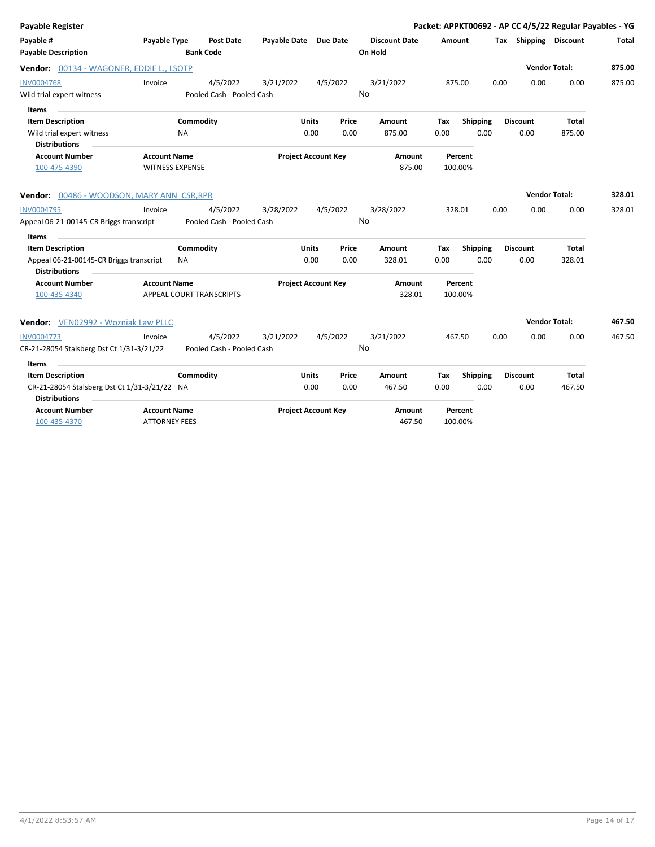| <b>Payable Register</b>                                         |                        |           |                           |                       |                            |          |                      |        |                 |      |                       | Packet: APPKT00692 - AP CC 4/5/22 Regular Payables - YG |        |
|-----------------------------------------------------------------|------------------------|-----------|---------------------------|-----------------------|----------------------------|----------|----------------------|--------|-----------------|------|-----------------------|---------------------------------------------------------|--------|
| Payable #                                                       | Payable Type           |           | <b>Post Date</b>          | Payable Date Due Date |                            |          | <b>Discount Date</b> | Amount |                 |      | Tax Shipping Discount |                                                         | Total  |
| <b>Payable Description</b>                                      |                        |           | <b>Bank Code</b>          |                       |                            |          | On Hold              |        |                 |      |                       |                                                         |        |
| Vendor: 00134 - WAGONER, EDDIE L., LSOTP                        |                        |           |                           |                       |                            |          |                      |        |                 |      | <b>Vendor Total:</b>  |                                                         | 875.00 |
| <b>INV0004768</b>                                               | Invoice                |           | 4/5/2022                  | 3/21/2022             |                            | 4/5/2022 | 3/21/2022            |        | 875.00          | 0.00 | 0.00                  | 0.00                                                    | 875.00 |
| Wild trial expert witness                                       |                        |           | Pooled Cash - Pooled Cash |                       |                            |          | No                   |        |                 |      |                       |                                                         |        |
| Items                                                           |                        |           |                           |                       |                            |          |                      |        |                 |      |                       |                                                         |        |
| <b>Item Description</b>                                         |                        | Commodity |                           |                       | <b>Units</b>               | Price    | Amount               | Tax    | <b>Shipping</b> |      | <b>Discount</b>       | Total                                                   |        |
| Wild trial expert witness<br><b>Distributions</b>               |                        | <b>NA</b> |                           |                       | 0.00                       | 0.00     | 875.00               | 0.00   | 0.00            |      | 0.00                  | 875.00                                                  |        |
| <b>Account Number</b>                                           | <b>Account Name</b>    |           |                           |                       | <b>Project Account Key</b> |          | Amount               |        | Percent         |      |                       |                                                         |        |
| 100-475-4390                                                    | <b>WITNESS EXPENSE</b> |           |                           |                       |                            |          | 875.00               |        | 100.00%         |      |                       |                                                         |        |
| Vendor: 00486 - WOODSON, MARY ANN CSR, RPR                      |                        |           |                           |                       |                            |          |                      |        |                 |      |                       | <b>Vendor Total:</b>                                    | 328.01 |
| <b>INV0004795</b>                                               | Invoice                |           | 4/5/2022                  | 3/28/2022             |                            | 4/5/2022 | 3/28/2022            |        | 328.01          | 0.00 | 0.00                  | 0.00                                                    | 328.01 |
| Appeal 06-21-00145-CR Briggs transcript                         |                        |           | Pooled Cash - Pooled Cash |                       |                            |          | No                   |        |                 |      |                       |                                                         |        |
| Items                                                           |                        |           |                           |                       |                            |          |                      |        |                 |      |                       |                                                         |        |
| <b>Item Description</b>                                         |                        | Commodity |                           |                       | <b>Units</b>               | Price    | Amount               | Tax    | Shipping        |      | <b>Discount</b>       | Total                                                   |        |
| Appeal 06-21-00145-CR Briggs transcript<br><b>Distributions</b> |                        | <b>NA</b> |                           |                       | 0.00                       | 0.00     | 328.01               | 0.00   | 0.00            |      | 0.00                  | 328.01                                                  |        |
| <b>Account Number</b>                                           | <b>Account Name</b>    |           |                           |                       | <b>Project Account Key</b> |          | Amount               |        | Percent         |      |                       |                                                         |        |
| 100-435-4340                                                    |                        |           | APPEAL COURT TRANSCRIPTS  |                       |                            |          | 328.01               |        | 100.00%         |      |                       |                                                         |        |
| Vendor: VEN02992 - Wozniak Law PLLC                             |                        |           |                           |                       |                            |          |                      |        |                 |      | <b>Vendor Total:</b>  |                                                         | 467.50 |
| <b>INV0004773</b>                                               | Invoice                |           | 4/5/2022                  | 3/21/2022             |                            | 4/5/2022 | 3/21/2022            |        | 467.50          | 0.00 | 0.00                  | 0.00                                                    | 467.50 |
| CR-21-28054 Stalsberg Dst Ct 1/31-3/21/22                       |                        |           | Pooled Cash - Pooled Cash |                       |                            |          | No                   |        |                 |      |                       |                                                         |        |
| Items                                                           |                        |           |                           |                       |                            |          |                      |        |                 |      |                       |                                                         |        |
| <b>Item Description</b>                                         |                        | Commodity |                           |                       | <b>Units</b>               | Price    | Amount               | Tax    | Shipping        |      | <b>Discount</b>       | Total                                                   |        |
| CR-21-28054 Stalsberg Dst Ct 1/31-3/21/22 NA                    |                        |           |                           |                       | 0.00                       | 0.00     | 467.50               | 0.00   | 0.00            |      | 0.00                  | 467.50                                                  |        |
| <b>Distributions</b>                                            |                        |           |                           |                       |                            |          |                      |        |                 |      |                       |                                                         |        |
| <b>Account Number</b>                                           | <b>Account Name</b>    |           |                           |                       | <b>Project Account Key</b> |          | Amount               |        | Percent         |      |                       |                                                         |        |
| 100-435-4370                                                    | <b>ATTORNEY FEES</b>   |           |                           |                       |                            |          | 467.50               |        | 100.00%         |      |                       |                                                         |        |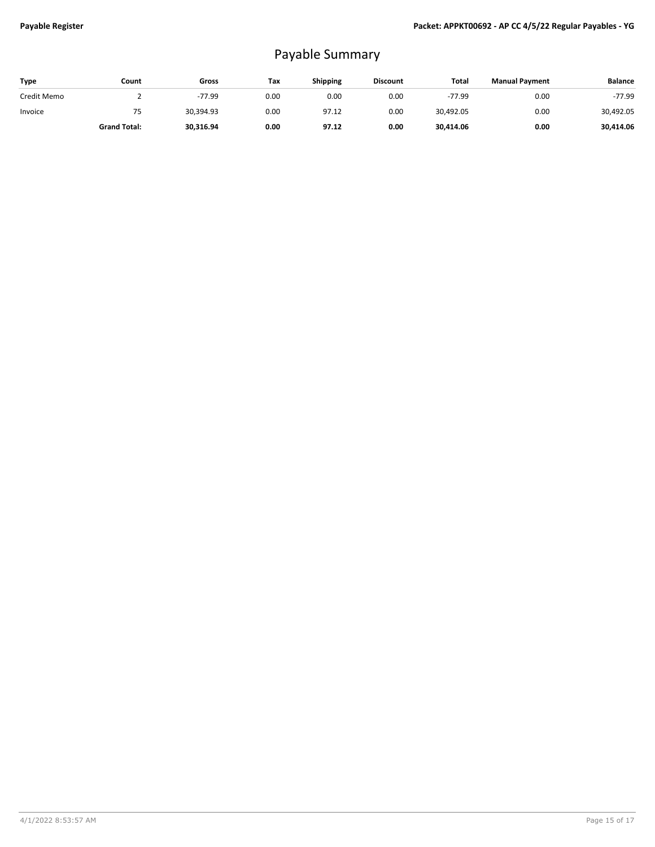## Payable Summary

| Type        | Count               | Gross     | Tax  | <b>Shipping</b> | <b>Discount</b> | Total     | <b>Manual Payment</b> | <b>Balance</b> |
|-------------|---------------------|-----------|------|-----------------|-----------------|-----------|-----------------------|----------------|
| Credit Memo |                     | $-77.99$  | 0.00 | 0.00            | 0.00            | $-77.99$  | 0.00                  | $-77.99$       |
| Invoice     | 75                  | 30.394.93 | 0.00 | 97.12           | 0.00            | 30,492.05 | 0.00                  | 30,492.05      |
|             | <b>Grand Total:</b> | 30,316.94 | 0.00 | 97.12           | 0.00            | 30.414.06 | 0.00                  | 30,414.06      |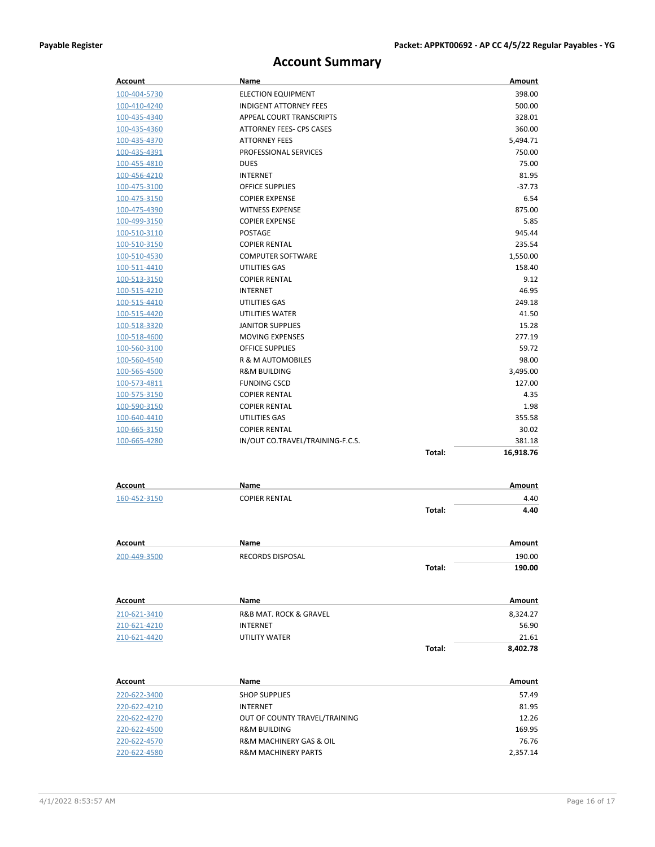## **Account Summary**

| <b>Account</b> | Name                             |        | Amount    |
|----------------|----------------------------------|--------|-----------|
| 100-404-5730   | <b>ELECTION EQUIPMENT</b>        |        | 398.00    |
| 100-410-4240   | <b>INDIGENT ATTORNEY FEES</b>    |        | 500.00    |
| 100-435-4340   | APPEAL COURT TRANSCRIPTS         |        | 328.01    |
| 100-435-4360   | ATTORNEY FEES- CPS CASES         |        | 360.00    |
| 100-435-4370   | <b>ATTORNEY FEES</b>             |        | 5,494.71  |
| 100-435-4391   | PROFESSIONAL SERVICES            |        | 750.00    |
| 100-455-4810   | <b>DUES</b>                      |        | 75.00     |
| 100-456-4210   | <b>INTERNET</b>                  |        | 81.95     |
| 100-475-3100   | <b>OFFICE SUPPLIES</b>           |        | $-37.73$  |
| 100-475-3150   | <b>COPIER EXPENSE</b>            |        | 6.54      |
| 100-475-4390   | <b>WITNESS EXPENSE</b>           |        | 875.00    |
| 100-499-3150   | <b>COPIER EXPENSE</b>            |        | 5.85      |
| 100-510-3110   | <b>POSTAGE</b>                   |        | 945.44    |
| 100-510-3150   | <b>COPIER RENTAL</b>             |        | 235.54    |
| 100-510-4530   | <b>COMPUTER SOFTWARE</b>         |        | 1,550.00  |
| 100-511-4410   | UTILITIES GAS                    |        | 158.40    |
| 100-513-3150   | <b>COPIER RENTAL</b>             |        | 9.12      |
| 100-515-4210   | <b>INTERNET</b>                  |        | 46.95     |
| 100-515-4410   | UTILITIES GAS                    |        | 249.18    |
| 100-515-4420   | UTILITIES WATER                  |        | 41.50     |
| 100-518-3320   | <b>JANITOR SUPPLIES</b>          |        | 15.28     |
| 100-518-4600   | <b>MOVING EXPENSES</b>           |        | 277.19    |
| 100-560-3100   | <b>OFFICE SUPPLIES</b>           |        | 59.72     |
| 100-560-4540   | R & M AUTOMOBILES                |        | 98.00     |
| 100-565-4500   | <b>R&amp;M BUILDING</b>          |        | 3,495.00  |
| 100-573-4811   | <b>FUNDING CSCD</b>              |        | 127.00    |
| 100-575-3150   | <b>COPIER RENTAL</b>             |        | 4.35      |
| 100-590-3150   | <b>COPIER RENTAL</b>             |        | 1.98      |
| 100-640-4410   | UTILITIES GAS                    |        | 355.58    |
| 100-665-3150   | <b>COPIER RENTAL</b>             |        | 30.02     |
| 100-665-4280   | IN/OUT CO.TRAVEL/TRAINING-F.C.S. |        | 381.18    |
|                |                                  | Total: | 16,918.76 |
| Account        | Name                             |        | Amount    |
| 160-452-3150   | <b>COPIER RENTAL</b>             |        | 4.40      |
|                |                                  | Total: | 4.40      |
|                |                                  |        |           |
| <b>Account</b> | Name                             |        | Amount    |
| 200-449-3500   | RECORDS DISPOSAL                 |        | 190.00    |
|                |                                  | Total: | 190.00    |
|                | Name                             |        | Amount    |
| Account        |                                  |        |           |
| 210-621-3410   | R&B MAT. ROCK & GRAVEL           |        | 8,324.27  |
| 210-621-4210   | <b>INTERNET</b>                  |        | 56.90     |
| 210-621-4420   | UTILITY WATER                    |        | 21.61     |
|                |                                  | Total: | 8,402.78  |
| Account        | Name                             |        | Amount    |
| 220-622-3400   | <b>SHOP SUPPLIES</b>             |        | 57.49     |
| 220-622-4210   | <b>INTERNET</b>                  |        | 81.95     |
| 220-622-4270   | OUT OF COUNTY TRAVEL/TRAINING    |        | 12.26     |
| 220-622-4500   | <b>R&amp;M BUILDING</b>          |        | 169.95    |
| 220-622-4570   | R&M MACHINERY GAS & OIL          |        | 76.76     |

220-622-4580 R&M MACHINERY PARTS 2,357.14